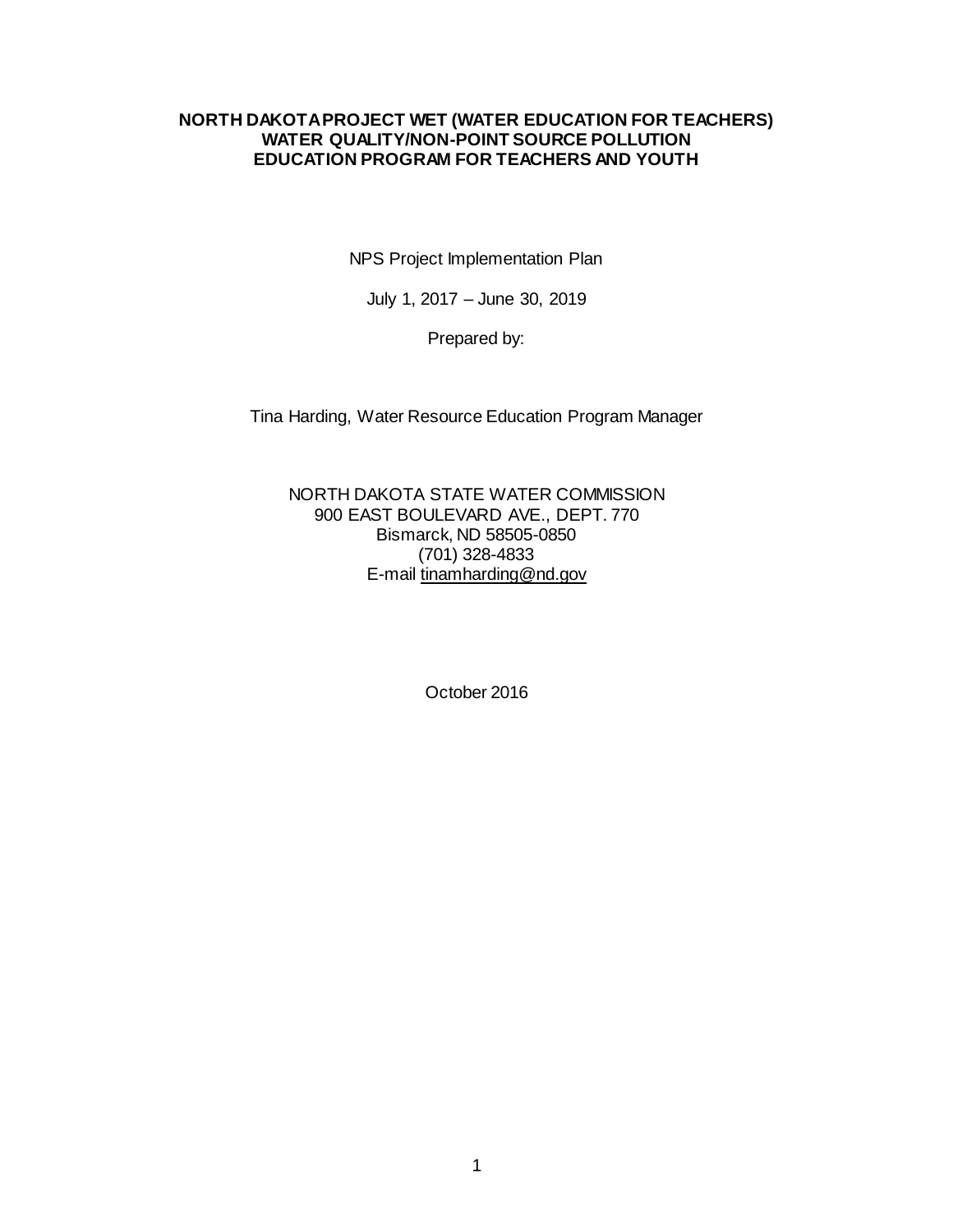#### **NORTH DAKOTA PROJECT WET (WATER EDUCATION FOR TEACHERS) WATER QUALITY/NON-POINT SOURCE POLLUTION EDUCATION PROGRAM FOR TEACHERS AND YOUTH**

NPS Project Implementation Plan

July 1, 2017 – June 30, 2019

Prepared by:

Tina Harding, Water Resource Education Program Manager

NORTH DAKOTA STATE WATER COMMISSION 900 EAST BOULEVARD AVE., DEPT. 770 Bismarck, ND 58505-0850 (701) 328-4833 E-mail tinamharding@nd.gov

October 2016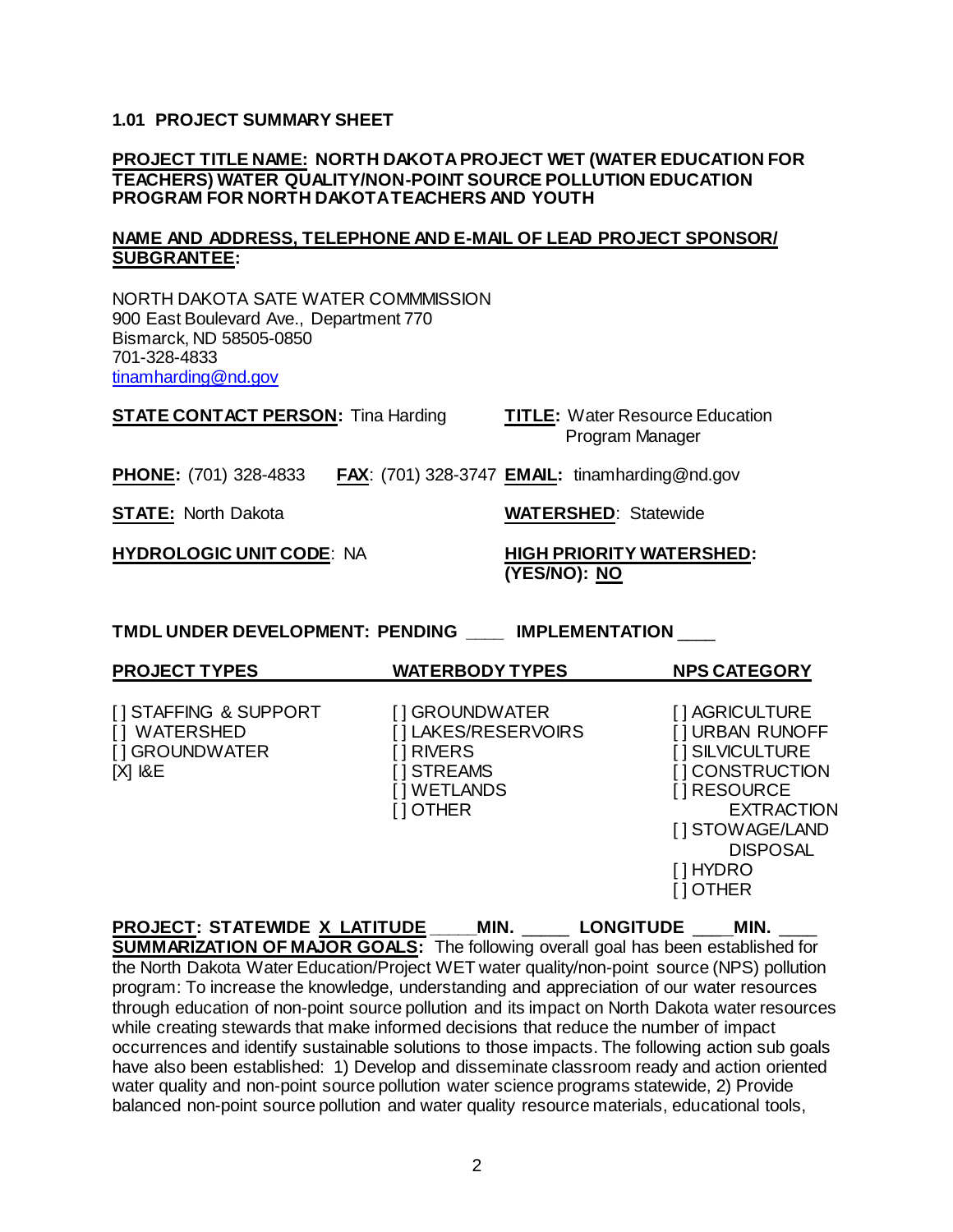#### **1.01 PROJECT SUMMARY SHEET**

#### **PROJECT TITLE NAME: NORTH DAKOTA PROJECT WET (WATER EDUCATION FOR TEACHERS) WATER QUALITY/NON-POINT SOURCE POLLUTION EDUCATION PROGRAM FOR NORTH DAKOTA TEACHERS AND YOUTH**

#### **NAME AND ADDRESS, TELEPHONE AND E-MAIL OF LEAD PROJECT SPONSOR/ SUBGRANTEE:**

NORTH DAKOTA SATE WATER COMMMISSION 900 East Boulevard Ave., Department 770 Bismarck, ND 58505-0850 701-328-4833 [tinamharding@nd.gov](mailto:bsharff@nd.gov)

| <b>STATE CONTACT PERSON: Tina Harding</b> | <b>TITLE: Water Resource Education</b><br>Program Manager    |  |
|-------------------------------------------|--------------------------------------------------------------|--|
| <b>PHONE:</b> (701) 328-4833              | <b>FAX:</b> (701) 328-3747 <b>EMAIL:</b> tinamharding@nd.gov |  |
| <b>STATE: North Dakota</b>                | <b>WATERSHED: Statewide</b>                                  |  |
| <b>HYDROLOGIC UNIT CODE: NA</b>           | <b>HIGH PRIORITY WATERSHED:</b><br>(YES/NO): NO              |  |

**TMDL UNDER DEVELOPMENT: PENDING \_\_\_\_ IMPLEMENTATION** \_\_\_\_

| <b>PROJECT TYPES</b>                                                     | <b>WATERBODY TYPES</b>                                                                              | <b>NPS CATEGORY</b>                                                                                                                                                        |
|--------------------------------------------------------------------------|-----------------------------------------------------------------------------------------------------|----------------------------------------------------------------------------------------------------------------------------------------------------------------------------|
| [] STAFFING & SUPPORT<br>[] WATERSHED<br>[] GROUNDWATER<br>$[X]$ $R$ $E$ | [] GROUNDWATER<br>[] LAKES/RESERVOIRS<br>[]RIVERS<br>[ ] STREAMS<br>[] WETLANDS<br><b>I</b> I OTHER | [ ] AGRICULTURE<br>[] URBAN RUNOFF<br>[ ] SILVICULTURE<br>[] CONSTRUCTION<br>[] RESOURCE<br><b>EXTRACTION</b><br>[] STOWAGE/LAND<br><b>DISPOSAL</b><br>[ ] HYDRO<br>10THER |

**PROJECT: STATEWIDE X LATITUDE \_\_\_\_\_MIN.** \_\_\_\_\_ **LONGITUDE** \_\_\_ **MIN.** \_\_\_\_ **SUMMARIZATION OF MAJOR GOALS:** The following overall goal has been established for the North Dakota Water Education/Project WET water quality/non-point source (NPS) pollution program: To increase the knowledge, understanding and appreciation of our water resources through education of non-point source pollution and its impact on North Dakota water resources while creating stewards that make informed decisions that reduce the number of impact occurrences and identify sustainable solutions to those impacts. The following action sub goals have also been established: 1) Develop and disseminate classroom ready and action oriented water quality and non-point source pollution water science programs statewide, 2) Provide balanced non-point source pollution and water quality resource materials, educational tools,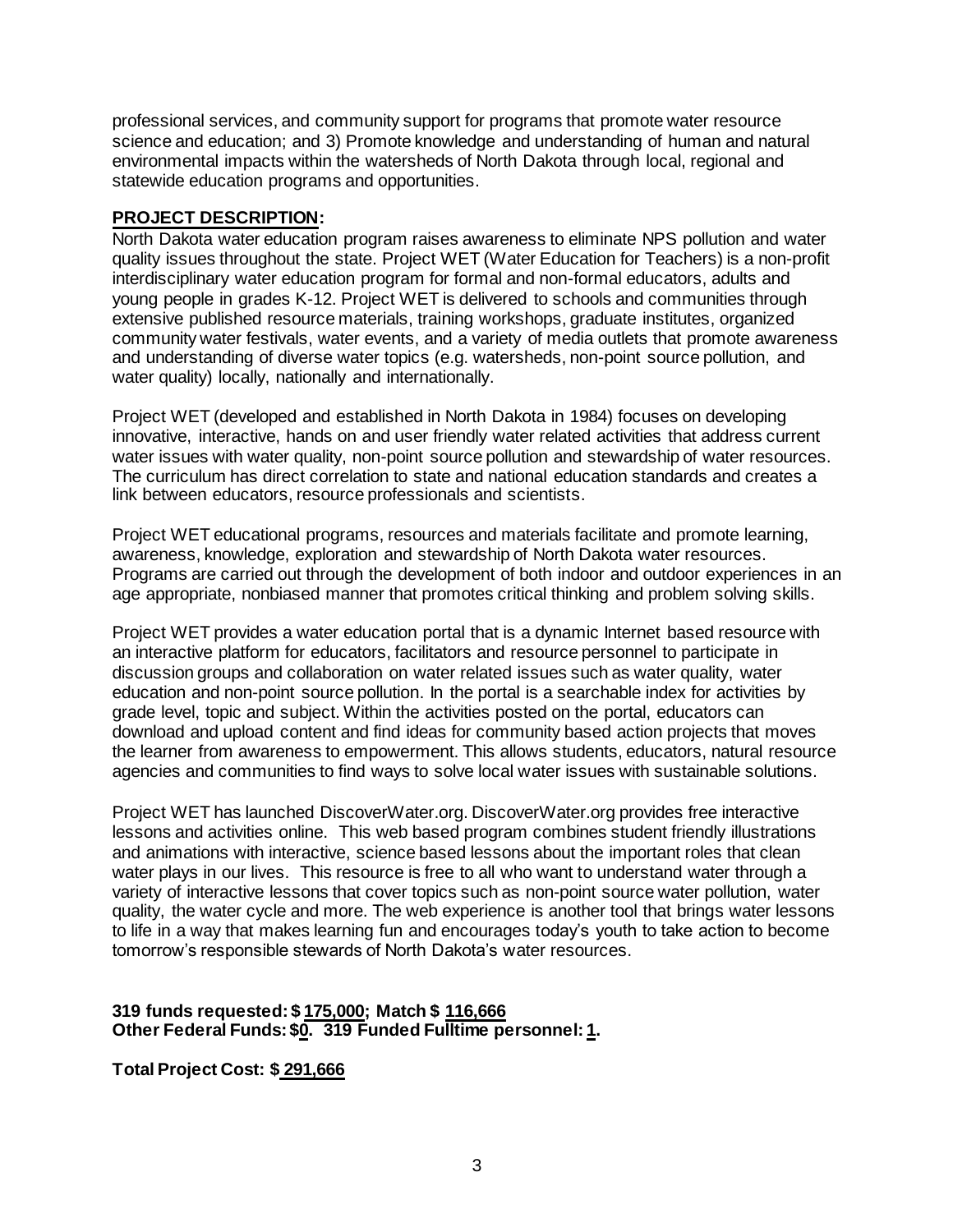professional services, and community support for programs that promote water resource science and education; and 3) Promote knowledge and understanding of human and natural environmental impacts within the watersheds of North Dakota through local, regional and statewide education programs and opportunities.

## **PROJECT DESCRIPTION:**

North Dakota water education program raises awareness to eliminate NPS pollution and water quality issues throughout the state. Project WET (Water Education for Teachers) is a non-profit interdisciplinary water education program for formal and non-formal educators, adults and young people in grades K-12. Project WET is delivered to schools and communities through extensive published resource materials, training workshops, graduate institutes, organized community water festivals, water events, and a variety of media outlets that promote awareness and understanding of diverse water topics (e.g. watersheds, non-point source pollution, and water quality) locally, nationally and internationally.

Project WET (developed and established in North Dakota in 1984) focuses on developing innovative, interactive, hands on and user friendly water related activities that address current water issues with water quality, non-point source pollution and stewardship of water resources. The curriculum has direct correlation to state and national education standards and creates a link between educators, resource professionals and scientists.

Project WET educational programs, resources and materials facilitate and promote learning, awareness, knowledge, exploration and stewardship of North Dakota water resources. Programs are carried out through the development of both indoor and outdoor experiences in an age appropriate, nonbiased manner that promotes critical thinking and problem solving skills.

Project WET provides a water education portal that is a dynamic Internet based resource with an interactive platform for educators, facilitators and resource personnel to participate in discussion groups and collaboration on water related issues such as water quality, water education and non-point source pollution. In the portal is a searchable index for activities by grade level, topic and subject. Within the activities posted on the portal, educators can download and upload content and find ideas for community based action projects that moves the learner from awareness to empowerment. This allows students, educators, natural resource agencies and communities to find ways to solve local water issues with sustainable solutions.

Project WET has launched DiscoverWater.org. DiscoverWater.org provides free interactive lessons and activities online. This web based program combines student friendly illustrations and animations with interactive, science based lessons about the important roles that clean water plays in our lives. This resource is free to all who want to understand water through a variety of interactive lessons that cover topics such as non-point source water pollution, water quality, the water cycle and more. The web experience is another tool that brings water lessons to life in a way that makes learning fun and encourages today's youth to take action to become tomorrow's responsible stewards of North Dakota's water resources.

## **319 funds requested: \$ 175,000; Match \$ 116,666 Other Federal Funds: \$0. 319 Funded Fulltime personnel: 1.**

**Total Project Cost: \$ 291,666**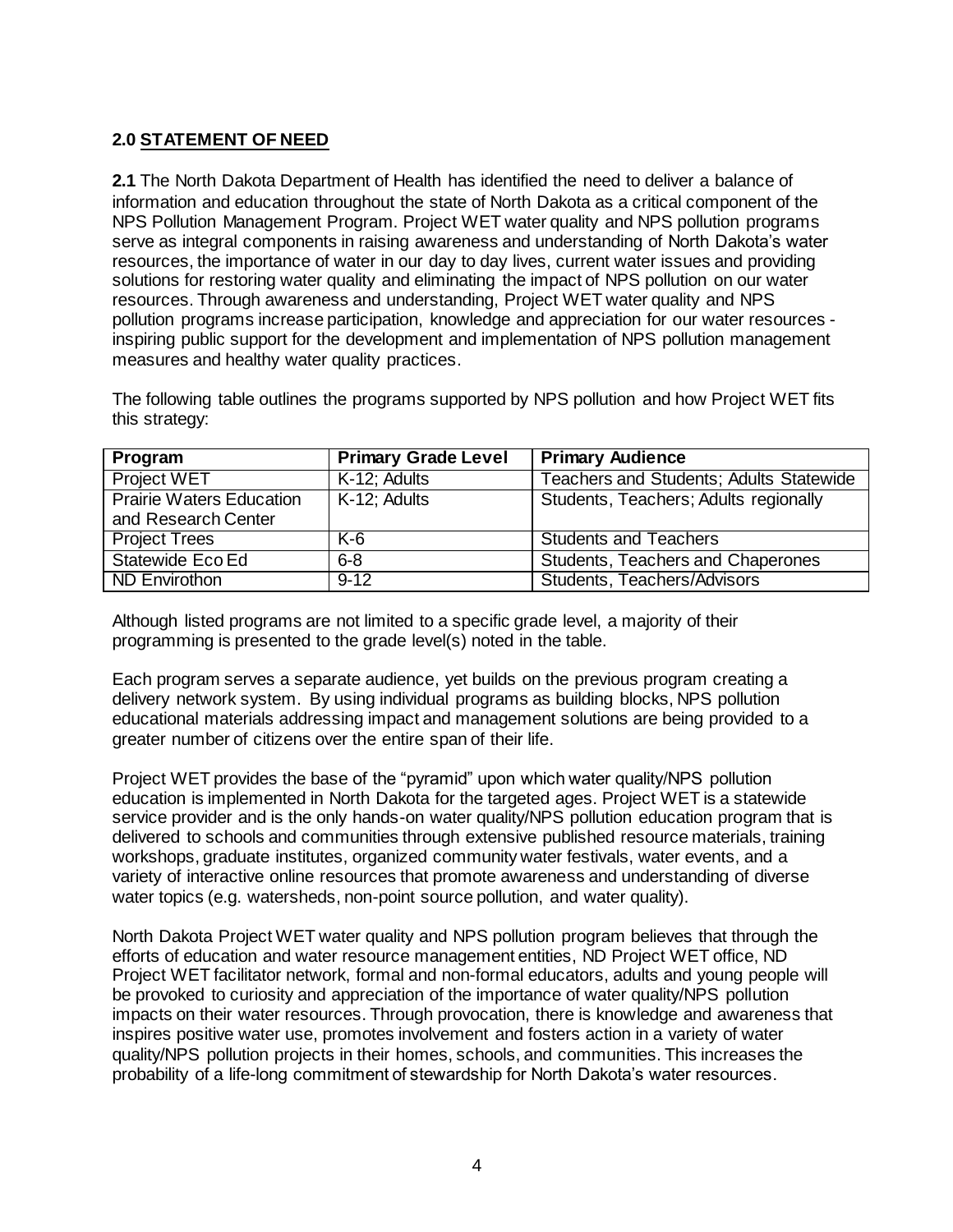# **2.0 STATEMENT OF NEED**

**2.1** The North Dakota Department of Health has identified the need to deliver a balance of information and education throughout the state of North Dakota as a critical component of the NPS Pollution Management Program. Project WET water quality and NPS pollution programs serve as integral components in raising awareness and understanding of North Dakota's water resources, the importance of water in our day to day lives, current water issues and providing solutions for restoring water quality and eliminating the impact of NPS pollution on our water resources. Through awareness and understanding, Project WET water quality and NPS pollution programs increase participation, knowledge and appreciation for our water resources inspiring public support for the development and implementation of NPS pollution management measures and healthy water quality practices.

The following table outlines the programs supported by NPS pollution and how Project WET fits this strategy:

| Program                         | <b>Primary Grade Level</b> | <b>Primary Audience</b>                        |
|---------------------------------|----------------------------|------------------------------------------------|
| <b>Project WET</b>              | K-12; Adults               | <b>Teachers and Students; Adults Statewide</b> |
| <b>Prairie Waters Education</b> | K-12; Adults               | Students, Teachers; Adults regionally          |
| and Research Center             |                            |                                                |
| <b>Project Trees</b>            | K-6                        | <b>Students and Teachers</b>                   |
| Statewide Eco Ed                | $6 - 8$                    | Students, Teachers and Chaperones              |
| ND Envirothon                   | $9-12$                     | Students, Teachers/Advisors                    |

Although listed programs are not limited to a specific grade level, a majority of their programming is presented to the grade level(s) noted in the table.

Each program serves a separate audience, yet builds on the previous program creating a delivery network system. By using individual programs as building blocks, NPS pollution educational materials addressing impact and management solutions are being provided to a greater number of citizens over the entire span of their life.

Project WET provides the base of the "pyramid" upon which water quality/NPS pollution education is implemented in North Dakota for the targeted ages. Project WET is a statewide service provider and is the only hands-on water quality/NPS pollution education program that is delivered to schools and communities through extensive published resource materials, training workshops, graduate institutes, organized community water festivals, water events, and a variety of interactive online resources that promote awareness and understanding of diverse water topics (e.g. watersheds, non-point source pollution, and water quality).

North Dakota Project WET water quality and NPS pollution program believes that through the efforts of education and water resource management entities, ND Project WET office, ND Project WET facilitator network, formal and non-formal educators, adults and young people will be provoked to curiosity and appreciation of the importance of water quality/NPS pollution impacts on their water resources. Through provocation, there is knowledge and awareness that inspires positive water use, promotes involvement and fosters action in a variety of water quality/NPS pollution projects in their homes, schools, and communities. This increases the probability of a life-long commitment of stewardship for North Dakota's water resources.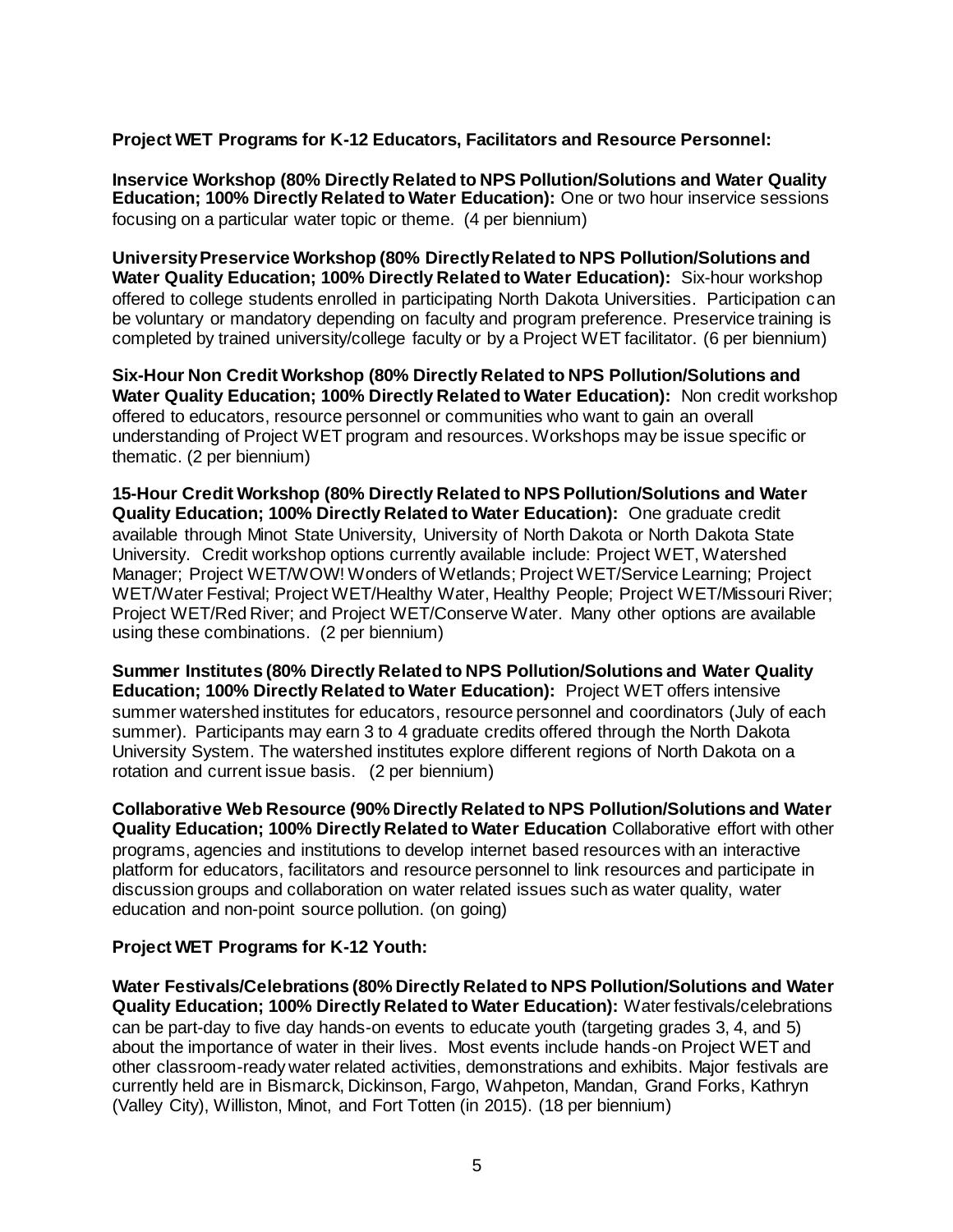## **Project WET Programs for K-12 Educators, Facilitators and Resource Personnel:**

**Inservice Workshop (80% Directly Related to NPS Pollution/Solutions and Water Quality Education; 100% Directly Related to Water Education):** One or two hour inservice sessions focusing on a particular water topic or theme. (4 per biennium)

**University Preservice Workshop (80% Directly Related to NPS Pollution/Solutions and Water Quality Education; 100% Directly Related to Water Education):** Six-hour workshop offered to college students enrolled in participating North Dakota Universities. Participation can be voluntary or mandatory depending on faculty and program preference. Preservice training is completed by trained university/college faculty or by a Project WET facilitator. (6 per biennium)

**Six-Hour Non Credit Workshop (80% Directly Related to NPS Pollution/Solutions and Water Quality Education; 100% Directly Related to Water Education):** Non credit workshop offered to educators, resource personnel or communities who want to gain an overall understanding of Project WET program and resources. Workshops may be issue specific or thematic. (2 per biennium)

**15-Hour Credit Workshop (80% Directly Related to NPS Pollution/Solutions and Water Quality Education; 100% Directly Related to Water Education):** One graduate credit available through Minot State University, University of North Dakota or North Dakota State University. Credit workshop options currently available include: Project WET, Watershed Manager; Project WET/WOW! Wonders of Wetlands; Project WET/Service Learning; Project WET/Water Festival; Project WET/Healthy Water, Healthy People; Project WET/Missouri River; Project WET/Red River; and Project WET/Conserve Water. Many other options are available using these combinations. (2 per biennium)

**Summer Institutes (80% Directly Related to NPS Pollution/Solutions and Water Quality Education; 100% Directly Related to Water Education):** Project WET offers intensive summer watershed institutes for educators, resource personnel and coordinators (July of each summer). Participants may earn 3 to 4 graduate credits offered through the North Dakota University System. The watershed institutes explore different regions of North Dakota on a rotation and current issue basis. (2 per biennium)

**Collaborative Web Resource (90% Directly Related to NPS Pollution/Solutions and Water Quality Education; 100% Directly Related to Water Education** Collaborative effort with other programs, agencies and institutions to develop internet based resources with an interactive platform for educators, facilitators and resource personnel to link resources and participate in discussion groups and collaboration on water related issues such as water quality, water education and non-point source pollution. (on going)

### **Project WET Programs for K-12 Youth:**

**Water Festivals/Celebrations (80% Directly Related to NPS Pollution/Solutions and Water Quality Education; 100% Directly Related to Water Education):** Water festivals/celebrations can be part-day to five day hands-on events to educate youth (targeting grades 3, 4, and 5) about the importance of water in their lives. Most events include hands-on Project WET and other classroom-ready water related activities, demonstrations and exhibits. Major festivals are currently held are in Bismarck, Dickinson, Fargo, Wahpeton, Mandan, Grand Forks, Kathryn (Valley City), Williston, Minot, and Fort Totten (in 2015). (18 per biennium)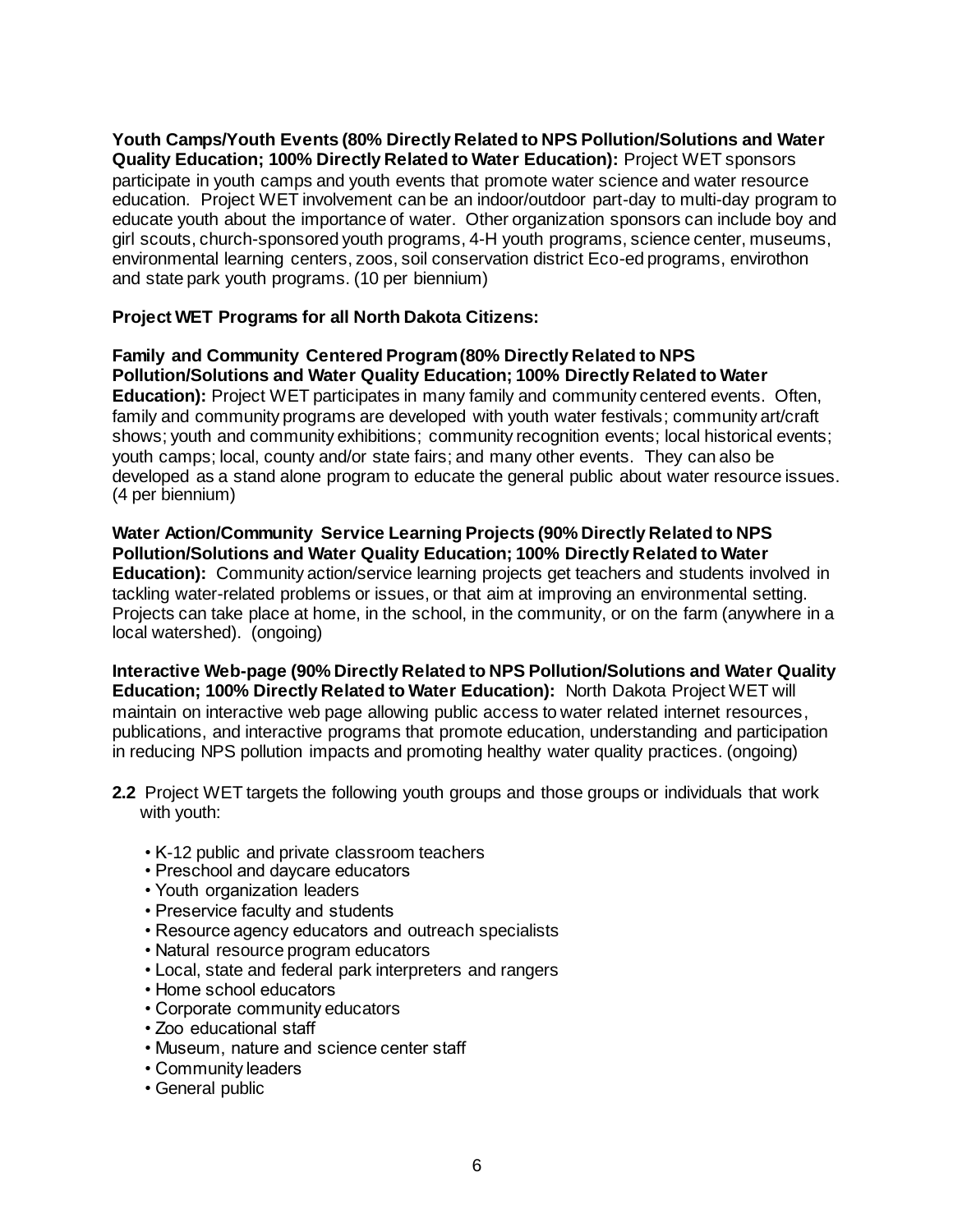**Youth Camps/Youth Events (80% Directly Related to NPS Pollution/Solutions and Water Quality Education; 100% Directly Related to Water Education):** Project WET sponsors participate in youth camps and youth events that promote water science and water resource education. Project WET involvement can be an indoor/outdoor part-day to multi-day program to educate youth about the importance of water. Other organization sponsors can include boy and girl scouts, church-sponsored youth programs, 4-H youth programs, science center, museums, environmental learning centers, zoos, soil conservation district Eco-ed programs, envirothon and state park youth programs. (10 per biennium)

## **Project WET Programs for all North Dakota Citizens:**

**Family and Community Centered Program (80% Directly Related to NPS Pollution/Solutions and Water Quality Education; 100% Directly Related to Water Education):** Project WET participates in many family and community centered events. Often, family and community programs are developed with youth water festivals; community art/craft shows; youth and community exhibitions; community recognition events; local historical events; youth camps; local, county and/or state fairs; and many other events. They can also be developed as a stand alone program to educate the general public about water resource issues. (4 per biennium)

**Water Action/Community Service Learning Projects (90% Directly Related to NPS Pollution/Solutions and Water Quality Education; 100% Directly Related to Water Education):** Community action/service learning projects get teachers and students involved in tackling water-related problems or issues, or that aim at improving an environmental setting. Projects can take place at home, in the school, in the community, or on the farm (anywhere in a local watershed). (ongoing)

**Interactive Web-page (90% Directly Related to NPS Pollution/Solutions and Water Quality Education; 100% Directly Related to Water Education):** North Dakota Project WET will maintain on interactive web page allowing public access to water related internet resources, publications, and interactive programs that promote education, understanding and participation in reducing NPS pollution impacts and promoting healthy water quality practices. (ongoing)

- **2.2** Project WET targets the following youth groups and those groups or individuals that work with youth:
	- K-12 public and private classroom teachers
	- Preschool and daycare educators
	- Youth organization leaders
	- Preservice faculty and students
	- Resource agency educators and outreach specialists
	- Natural resource program educators
	- Local, state and federal park interpreters and rangers
	- Home school educators
	- Corporate community educators
	- Zoo educational staff
	- Museum, nature and science center staff
	- Community leaders
	- General public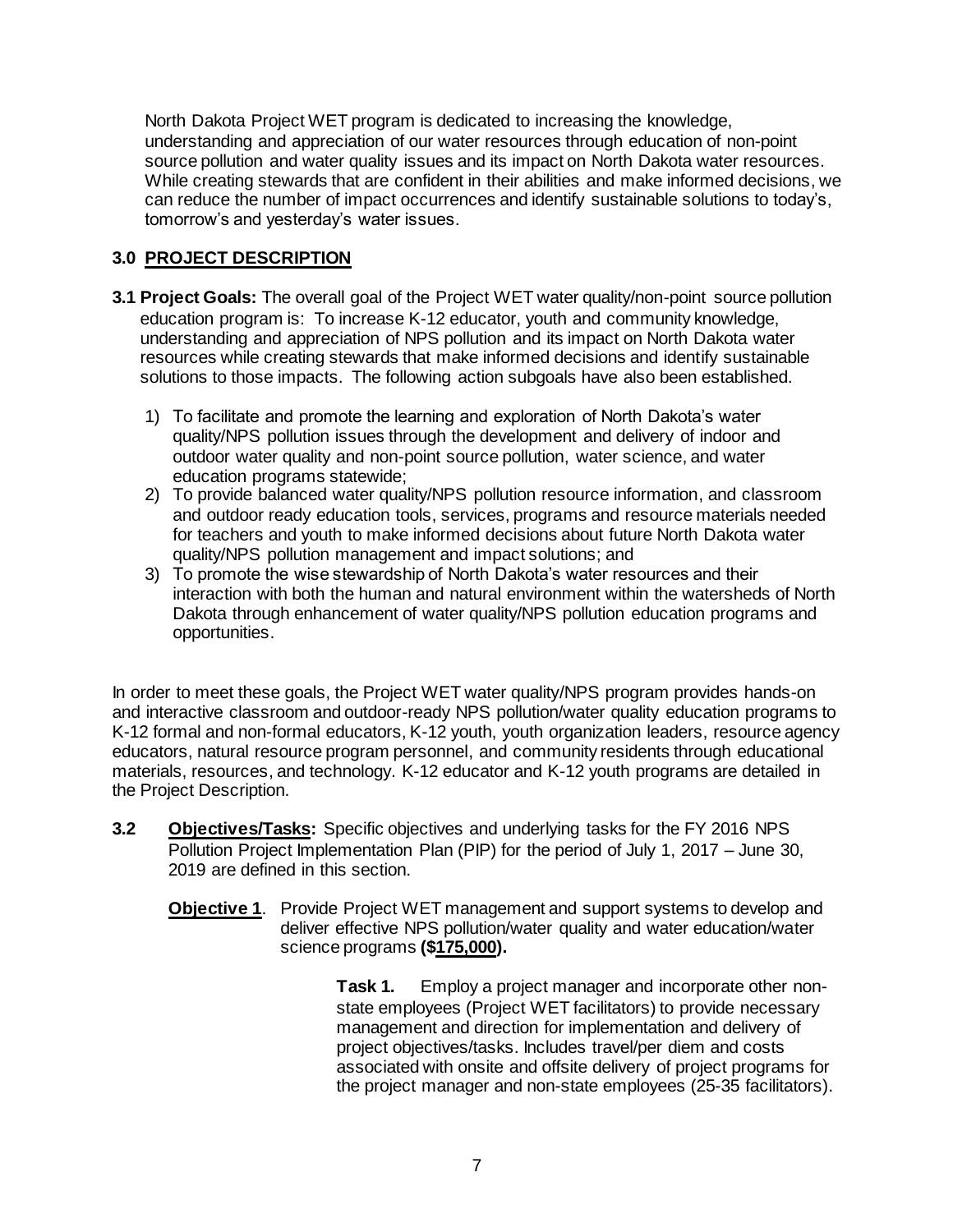North Dakota Project WET program is dedicated to increasing the knowledge, understanding and appreciation of our water resources through education of non-point source pollution and water quality issues and its impact on North Dakota water resources. While creating stewards that are confident in their abilities and make informed decisions, we can reduce the number of impact occurrences and identify sustainable solutions to today's, tomorrow's and yesterday's water issues.

# **3.0 PROJECT DESCRIPTION**

- **3.1 Project Goals:** The overall goal of the Project WET water quality/non-point source pollution education program is: To increase K-12 educator, youth and community knowledge, understanding and appreciation of NPS pollution and its impact on North Dakota water resources while creating stewards that make informed decisions and identify sustainable solutions to those impacts. The following action subgoals have also been established.
	- 1) To facilitate and promote the learning and exploration of North Dakota's water quality/NPS pollution issues through the development and delivery of indoor and outdoor water quality and non-point source pollution, water science, and water education programs statewide;
	- 2) To provide balanced water quality/NPS pollution resource information, and classroom and outdoor ready education tools, services, programs and resource materials needed for teachers and youth to make informed decisions about future North Dakota water quality/NPS pollution management and impact solutions; and
	- 3) To promote the wise stewardship of North Dakota's water resources and their interaction with both the human and natural environment within the watersheds of North Dakota through enhancement of water quality/NPS pollution education programs and opportunities.

In order to meet these goals, the Project WET water quality/NPS program provides hands-on and interactive classroom and outdoor-ready NPS pollution/water quality education programs to K-12 formal and non-formal educators, K-12 youth, youth organization leaders, resource agency educators, natural resource program personnel, and community residents through educational materials, resources, and technology. K-12 educator and K-12 youth programs are detailed in the Project Description.

- **3.2 Objectives/Tasks:** Specific objectives and underlying tasks for the FY 2016 NPS Pollution Project Implementation Plan (PIP) for the period of July 1, 2017 – June 30, 2019 are defined in this section.
	- **Objective 1**. Provide Project WET management and support systems to develop and deliver effective NPS pollution/water quality and water education/water science programs **(\$175,000).**

**Task 1.** Employ a project manager and incorporate other nonstate employees (Project WET facilitators) to provide necessary management and direction for implementation and delivery of project objectives/tasks. Includes travel/per diem and costs associated with onsite and offsite delivery of project programs for the project manager and non-state employees (25-35 facilitators).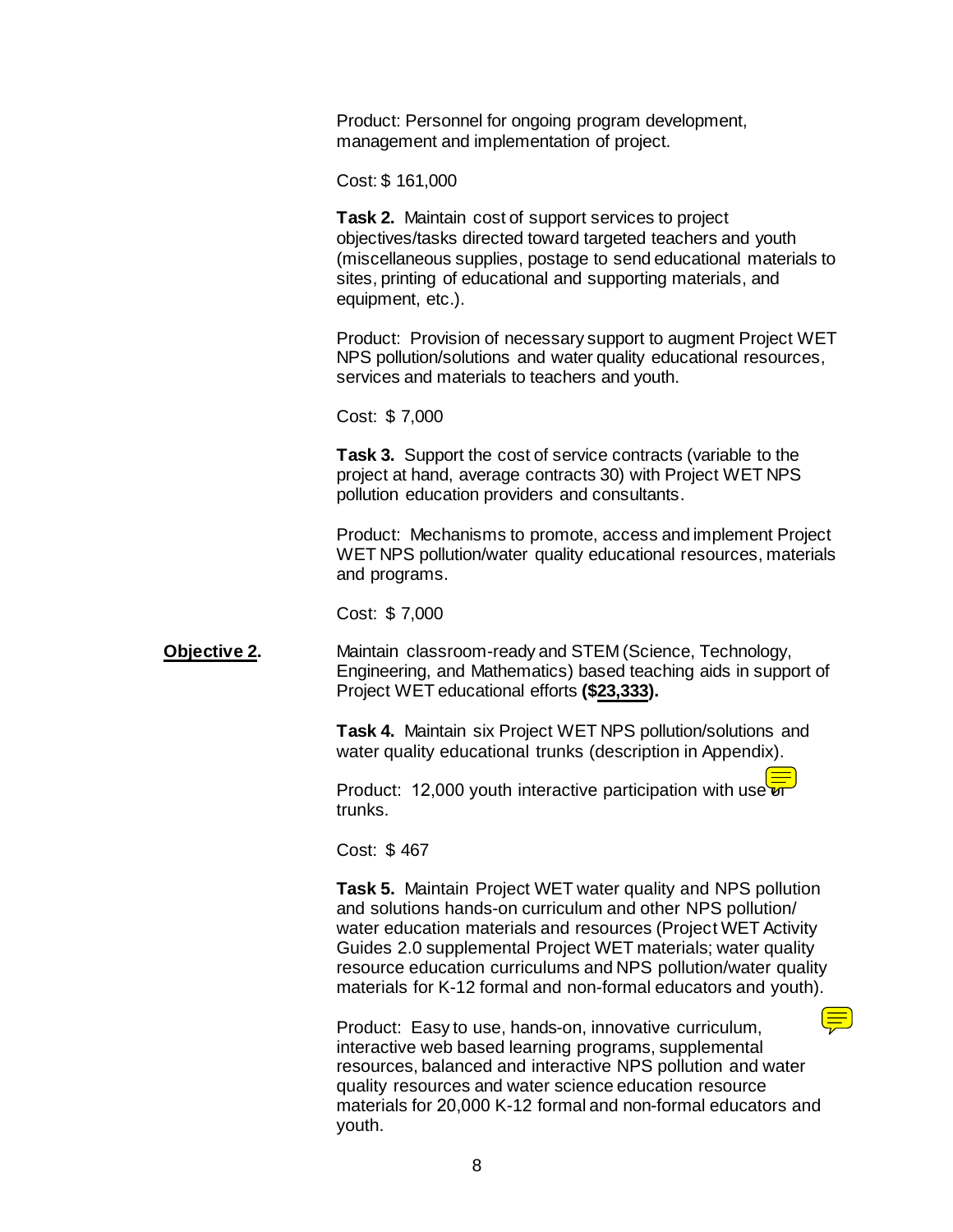Product: Personnel for ongoing program development, management and implementation of project.

Cost: \$ 161,000

**Task 2.** Maintain cost of support services to project objectives/tasks directed toward targeted teachers and youth (miscellaneous supplies, postage to send educational materials to sites, printing of educational and supporting materials, and equipment, etc.).

Product: Provision of necessary support to augment Project WET NPS pollution/solutions and water quality educational resources, services and materials to teachers and youth.

Cost: \$ 7,000

**Task 3.** Support the cost of service contracts (variable to the project at hand, average contracts 30) with Project WET NPS pollution education providers and consultants.

Product: Mechanisms to promote, access and implement Project WET NPS pollution/water quality educational resources, materials and programs.

Cost: \$ 7,000

**Objective 2.**  Maintain classroom-ready and STEM (Science, Technology, Engineering, and Mathematics) based teaching aids in support of Project WET educational efforts **(\$23,333).**

> **Task 4.** Maintain six Project WET NPS pollution/solutions and water quality educational trunks (description in Appendix).

Product: 12,000 youth interactive participation with use  $\overline{q}$ trunks.

Cost: \$ 467

**Task 5.** Maintain Project WET water quality and NPS pollution and solutions hands-on curriculum and other NPS pollution/ water education materials and resources (Project WET Activity Guides 2.0 supplemental Project WET materials; water quality resource education curriculums and NPS pollution/water quality materials for K-12 formal and non-formal educators and youth).

Product: Easy to use, hands-on, innovative curriculum, interactive web based learning programs, supplemental resources, balanced and interactive NPS pollution and water quality resources and water science education resource materials for 20,000 K-12 formal and non-formal educators and youth.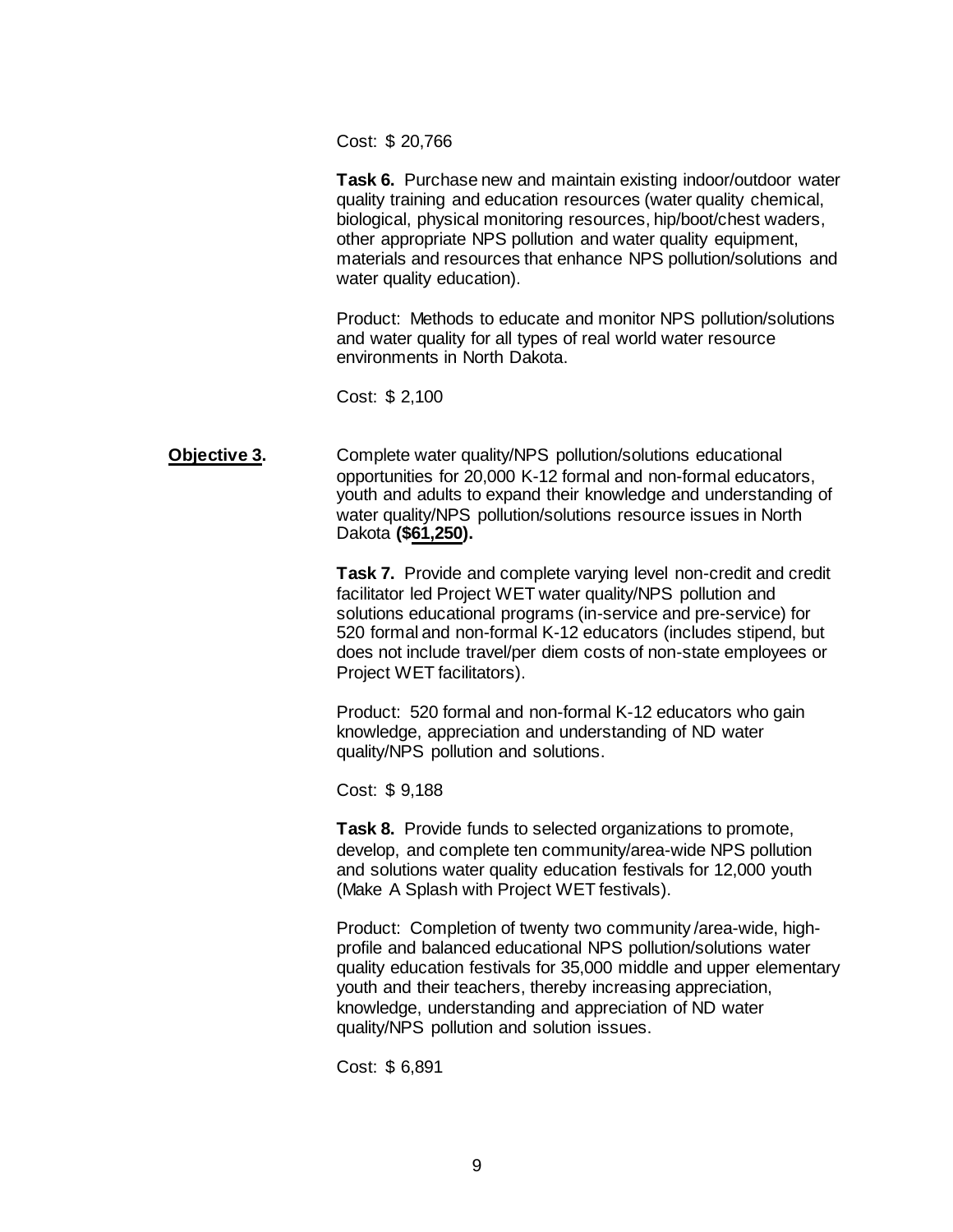Cost: \$ 20,766

**Task 6.** Purchase new and maintain existing indoor/outdoor water quality training and education resources (water quality chemical, biological, physical monitoring resources, hip/boot/chest waders, other appropriate NPS pollution and water quality equipment, materials and resources that enhance NPS pollution/solutions and water quality education).

Product: Methods to educate and monitor NPS pollution/solutions and water quality for all types of real world water resource environments in North Dakota.

Cost: \$ 2,100

**Objective 3.** Complete water quality/NPS pollution/solutions educational opportunities for 20,000 K-12 formal and non-formal educators, youth and adults to expand their knowledge and understanding of water quality/NPS pollution/solutions resource issues in North Dakota **(\$61,250).**

> **Task 7.** Provide and complete varying level non-credit and credit facilitator led Project WET water quality/NPS pollution and solutions educational programs (in-service and pre-service) for 520 formal and non-formal K-12 educators (includes stipend, but does not include travel/per diem costs of non-state employees or Project WET facilitators).

Product: 520 formal and non-formal K-12 educators who gain knowledge, appreciation and understanding of ND water quality/NPS pollution and solutions.

Cost: \$ 9,188

**Task 8.** Provide funds to selected organizations to promote, develop, and complete ten community/area-wide NPS pollution and solutions water quality education festivals for 12,000 youth (Make A Splash with Project WET festivals).

Product: Completion of twenty two community /area-wide, highprofile and balanced educational NPS pollution/solutions water quality education festivals for 35,000 middle and upper elementary youth and their teachers, thereby increasing appreciation, knowledge, understanding and appreciation of ND water quality/NPS pollution and solution issues.

Cost: \$ 6,891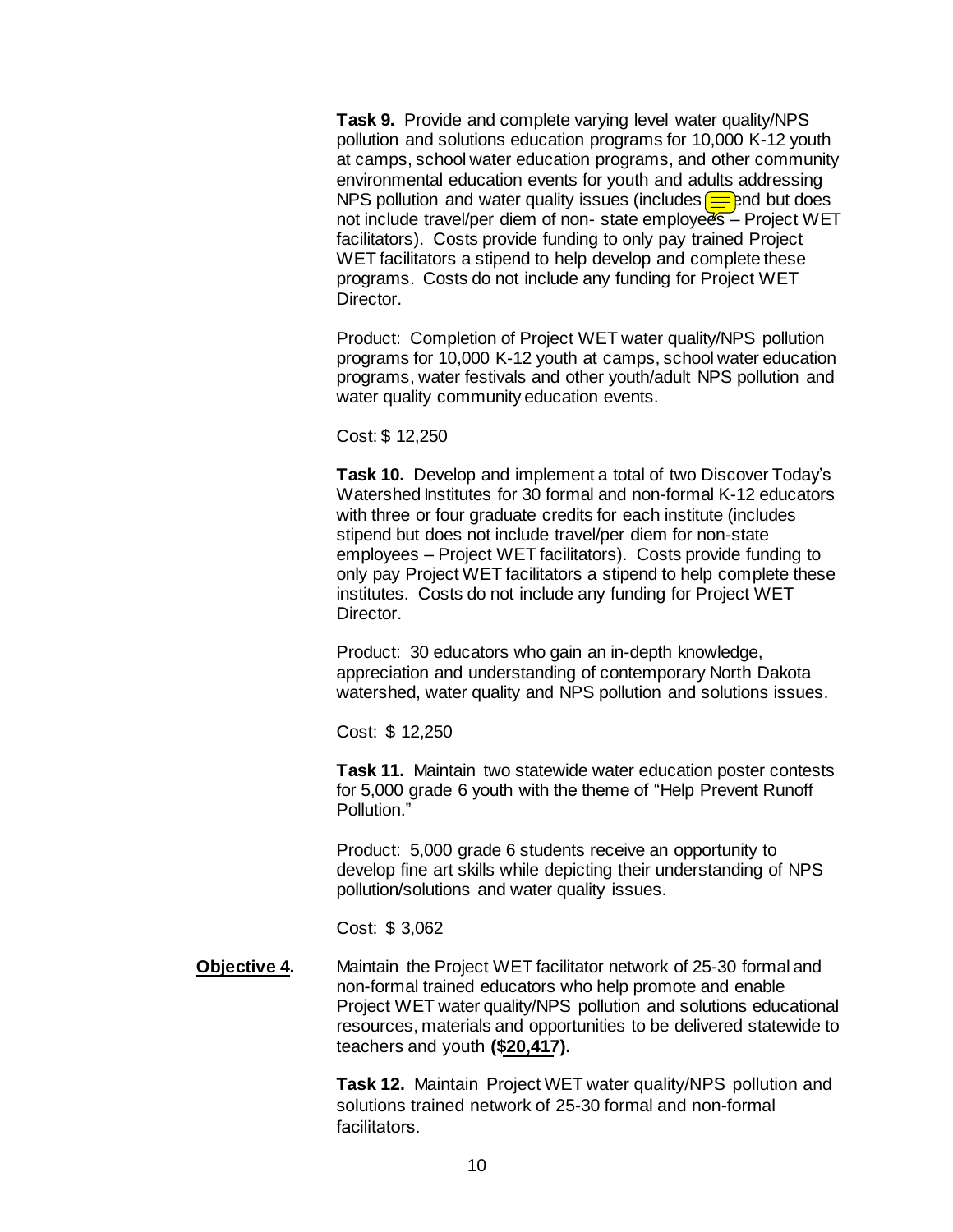**Task 9.** Provide and complete varying level water quality/NPS pollution and solutions education programs for 10,000 K-12 youth at camps, school water education programs, and other community environmental education events for youth and adults addressing NPS pollution and water quality issues (includes  $\equiv$  end but does not include travel/per diem of non-state employees - Project WET facilitators). Costs provide funding to only pay trained Project WET facilitators a stipend to help develop and complete these programs. Costs do not include any funding for Project WET Director.

Product: Completion of Project WET water quality/NPS pollution programs for 10,000 K-12 youth at camps, school water education programs, water festivals and other youth/adult NPS pollution and water quality community education events.

Cost: \$ 12,250

**Task 10.** Develop and implement a total of two Discover Today's Watershed Institutes for 30 formal and non-formal K-12 educators with three or four graduate credits for each institute (includes stipend but does not include travel/per diem for non-state employees – Project WET facilitators). Costs provide funding to only pay Project WET facilitators a stipend to help complete these institutes. Costs do not include any funding for Project WET Director.

Product: 30 educators who gain an in-depth knowledge, appreciation and understanding of contemporary North Dakota watershed, water quality and NPS pollution and solutions issues.

Cost: \$ 12,250

**Task 11.** Maintain two statewide water education poster contests for 5,000 grade 6 youth with the theme of "Help Prevent Runoff Pollution."

Product: 5,000 grade 6 students receive an opportunity to develop fine art skills while depicting their understanding of NPS pollution/solutions and water quality issues.

Cost: \$ 3,062

**Objective 4.** Maintain the Project WET facilitator network of 25-30 formal and non-formal trained educators who help promote and enable Project WET water quality/NPS pollution and solutions educational resources, materials and opportunities to be delivered statewide to teachers and youth **(\$20,417).**

> **Task 12.** Maintain Project WET water quality/NPS pollution and solutions trained network of 25-30 formal and non-formal facilitators.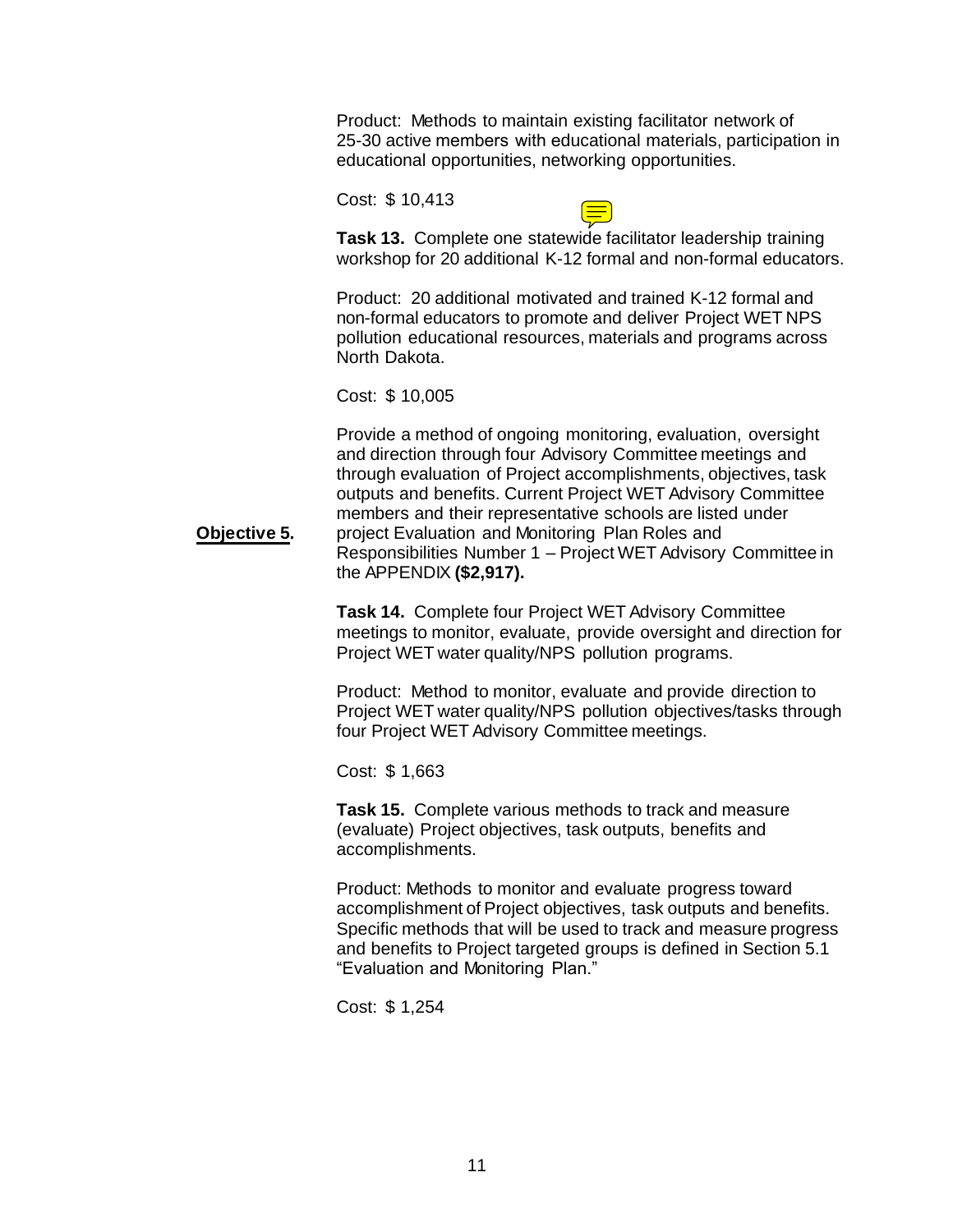Product: Methods to maintain existing facilitator network of 25-30 active members with educational materials, participation in educational opportunities, networking opportunities.

Cost: \$ 10,413



**Task 13.** Complete one statewide facilitator leadership training workshop for 20 additional K-12 formal and non-formal educators.

Product: 20 additional motivated and trained K-12 formal and non-formal educators to promote and deliver Project WET NPS pollution educational resources, materials and programs across North Dakota.

Cost: \$ 10,005

**Objective 5.** Provide a method of ongoing monitoring, evaluation, oversight and direction through four Advisory Committee meetings and through evaluation of Project accomplishments, objectives, task outputs and benefits. Current Project WET Advisory Committee members and their representative schools are listed under project Evaluation and Monitoring Plan Roles and Responsibilities Number 1 – Project WET Advisory Committee in the APPENDIX **(\$2,917).** 

> **Task 14.** Complete four Project WET Advisory Committee meetings to monitor, evaluate, provide oversight and direction for Project WET water quality/NPS pollution programs.

> Product: Method to monitor, evaluate and provide direction to Project WET water quality/NPS pollution objectives/tasks through four Project WET Advisory Committee meetings.

Cost: \$ 1,663

**Task 15.** Complete various methods to track and measure (evaluate) Project objectives, task outputs, benefits and accomplishments.

Product: Methods to monitor and evaluate progress toward accomplishment of Project objectives, task outputs and benefits. Specific methods that will be used to track and measure progress and benefits to Project targeted groups is defined in Section 5.1 "Evaluation and Monitoring Plan."

Cost: \$ 1,254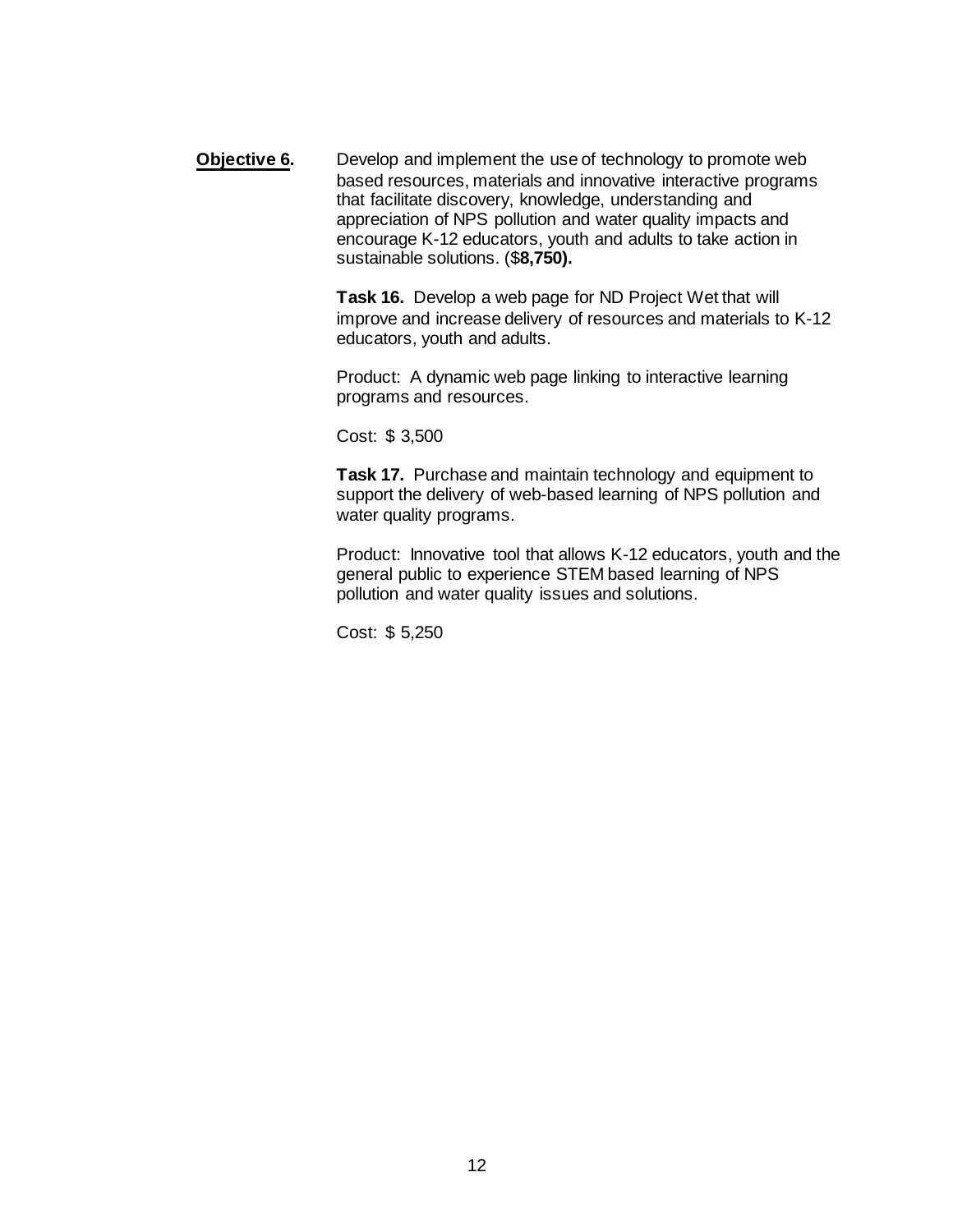**Objective 6.** Develop and implement the use of technology to promote web based resources, materials and innovative interactive programs that facilitate discovery, knowledge, understanding and appreciation of NPS pollution and water quality impacts and encourage K-12 educators, youth and adults to take action in sustainable solutions. (\$**8,750).** 

> **Task 16.** Develop a web page for ND Project Wet that will improve and increase delivery of resources and materials to K-12 educators, youth and adults.

Product: A dynamic web page linking to interactive learning programs and resources.

Cost: \$ 3,500

**Task 17.** Purchase and maintain technology and equipment to support the delivery of web-based learning of NPS pollution and water quality programs.

Product: Innovative tool that allows K-12 educators, youth and the general public to experience STEM based learning of NPS pollution and water quality issues and solutions.

Cost: \$ 5,250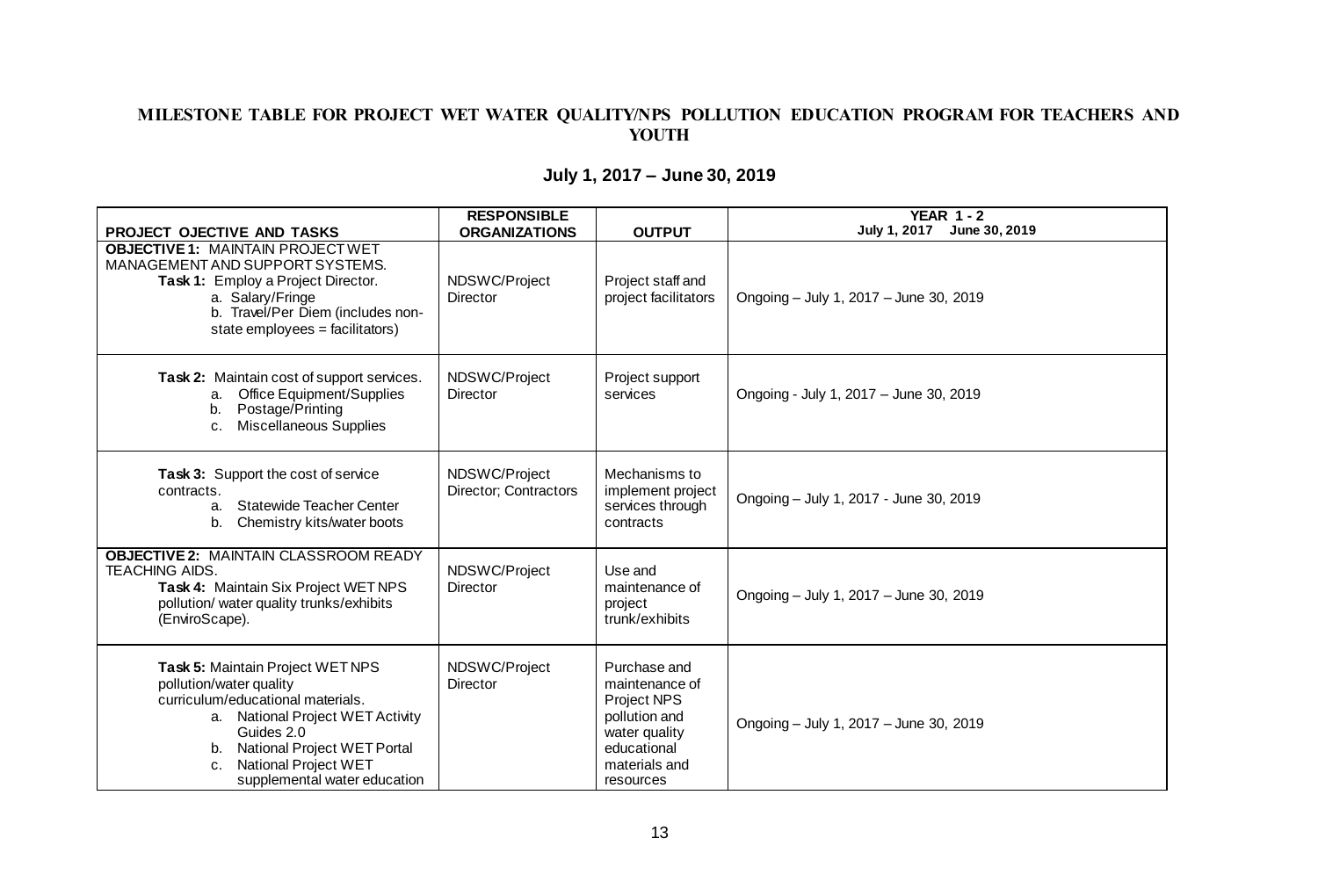#### MILESTONE TABLE FOR PROJECT WET WATER QUALITY/NPS POLLUTION EDUCATION PROGRAM FOR TEACHERS AND YOUTH

| <b>PROJECT OJECTIVE AND TASKS</b>                                                                                                                                                                                                                        | <b>RESPONSIBLE</b><br><b>ORGANIZATIONS</b> | <b>OUTPUT</b>                                                                                                                | <b>YEAR 1-2</b><br>July 1, 2017 June 30, 2019 |
|----------------------------------------------------------------------------------------------------------------------------------------------------------------------------------------------------------------------------------------------------------|--------------------------------------------|------------------------------------------------------------------------------------------------------------------------------|-----------------------------------------------|
| <b>OBJECTIVE 1: MAINTAIN PROJECT WET</b><br>MANAGEMENT AND SUPPORT SYSTEMS.<br>Task 1: Employ a Project Director.<br>a. Salary/Fringe<br>b. Travel/Per Diem (includes non-<br>state employees = facilitators)                                            | NDSWC/Project<br>Director                  | Project staff and<br>project facilitators                                                                                    | Ongoing - July 1, 2017 - June 30, 2019        |
| Task 2: Maintain cost of support services.<br><b>Office Equipment/Supplies</b><br>а.<br>Postage/Printing<br>b.<br><b>Miscellaneous Supplies</b><br>C <sub>1</sub>                                                                                        | NDSWC/Project<br><b>Director</b>           | Project support<br>services                                                                                                  | Ongoing - July 1, 2017 - June 30, 2019        |
| Task 3: Support the cost of service<br>contracts.<br><b>Statewide Teacher Center</b><br>a.<br>Chemistry kits/water boots<br>b.                                                                                                                           | NDSWC/Project<br>Director; Contractors     | Mechanisms to<br>implement project<br>services through<br>contracts                                                          | Ongoing - July 1, 2017 - June 30, 2019        |
| <b>OBJECTIVE 2: MAINTAIN CLASSROOM READY</b><br><b>TEACHING AIDS.</b><br>Task 4: Maintain Six Project WET NPS<br>pollution/ water quality trunks/exhibits<br>(EnviroScape).                                                                              | NDSWC/Project<br>Director                  | Use and<br>maintenance of<br>project<br>trunk/exhibits                                                                       | Ongoing - July 1, 2017 - June 30, 2019        |
| Task 5: Maintain Project WETNPS<br>pollution/water quality<br>curriculum/educational materials.<br>a. National Project WET Activity<br>Guides 2.0<br>b. National Project WET Portal<br><b>National Project WET</b><br>C.<br>supplemental water education | NDSWC/Project<br>Director                  | Purchase and<br>maintenance of<br>Project NPS<br>pollution and<br>water quality<br>educational<br>materials and<br>resources | Ongoing - July 1, 2017 - June 30, 2019        |

# **July 1, 2017 – June 30, 2019**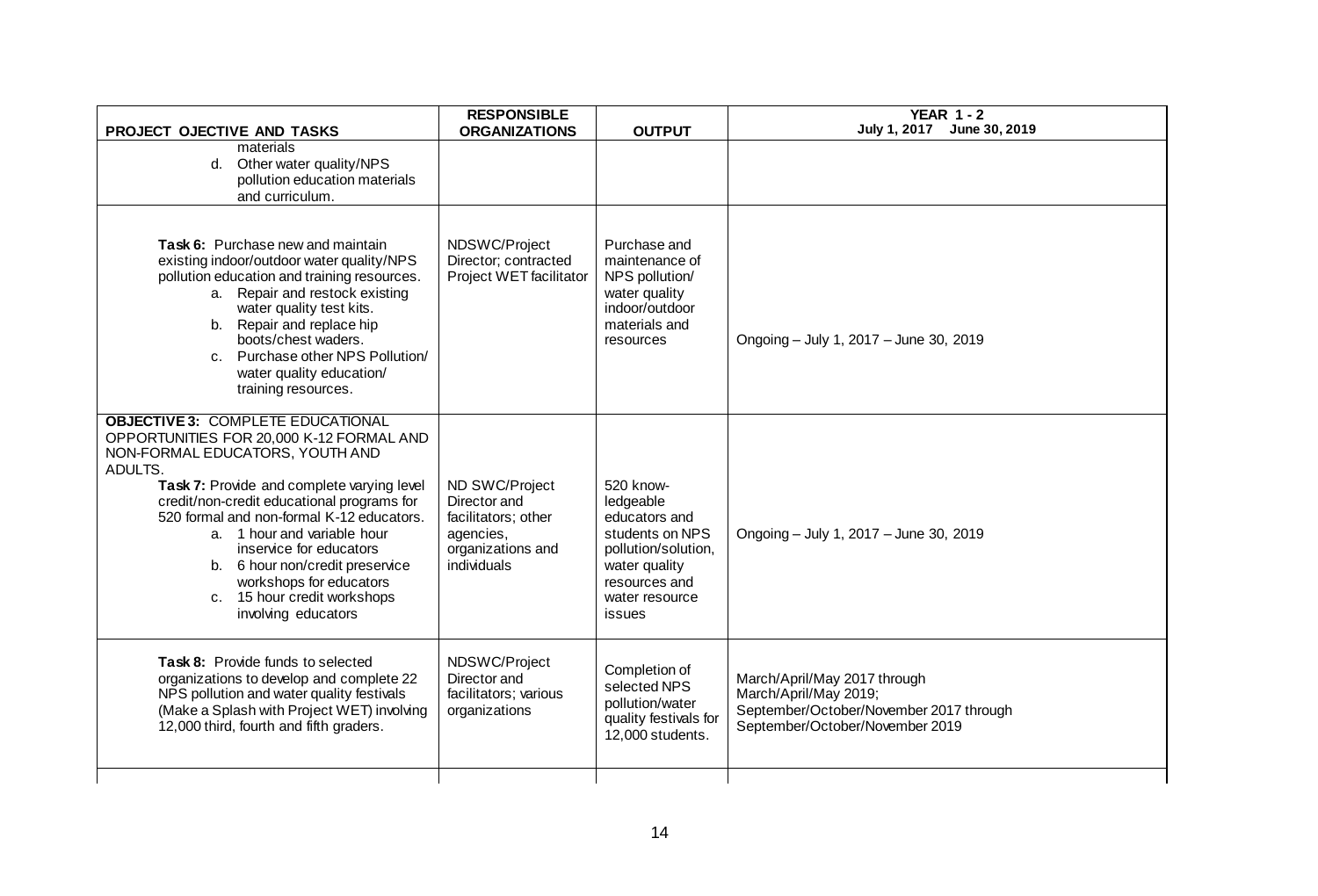| PROJECT OJECTIVE AND TASKS                                                                                                                                                                                                                                                                                                                                                                                                                                | <b>RESPONSIBLE</b><br><b>ORGANIZATIONS</b>                                                             | <b>OUTPUT</b>                                                                                                                                   | <b>YEAR 1-2</b><br>July 1, 2017 June 30, 2019                                                                                       |
|-----------------------------------------------------------------------------------------------------------------------------------------------------------------------------------------------------------------------------------------------------------------------------------------------------------------------------------------------------------------------------------------------------------------------------------------------------------|--------------------------------------------------------------------------------------------------------|-------------------------------------------------------------------------------------------------------------------------------------------------|-------------------------------------------------------------------------------------------------------------------------------------|
| materials<br>d. Other water quality/NPS<br>pollution education materials<br>and curriculum.                                                                                                                                                                                                                                                                                                                                                               |                                                                                                        |                                                                                                                                                 |                                                                                                                                     |
| Task 6: Purchase new and maintain<br>existing indoor/outdoor water quality/NPS<br>pollution education and training resources.<br>a. Repair and restock existing<br>water quality test kits.<br>b. Repair and replace hip<br>boots/chest waders.<br>c. Purchase other NPS Pollution/<br>water quality education/<br>training resources.                                                                                                                    | NDSWC/Project<br>Director; contracted<br>Project WET facilitator                                       | Purchase and<br>maintenance of<br>NPS pollution/<br>water quality<br>indoor/outdoor<br>materials and<br>resources                               | Ongoing - July 1, 2017 - June 30, 2019                                                                                              |
| <b>OBJECTIVE 3: COMPLETE EDUCATIONAL</b><br>OPPORTUNITIES FOR 20,000 K-12 FORMAL AND<br>NON-FORMAL EDUCATORS, YOUTH AND<br>ADULTS.<br>Task 7: Provide and complete varying level<br>credit/non-credit educational programs for<br>520 formal and non-formal K-12 educators.<br>a. 1 hour and variable hour<br>inservice for educators<br>b. 6 hour non/credit preservice<br>workshops for educators<br>c. 15 hour credit workshops<br>involving educators | ND SWC/Project<br>Director and<br>facilitators; other<br>agencies,<br>organizations and<br>individuals | 520 know-<br>ledgeable<br>educators and<br>students on NPS<br>pollution/solution,<br>water quality<br>resources and<br>water resource<br>issues | Ongoing - July 1, 2017 - June 30, 2019                                                                                              |
| Task 8: Provide funds to selected<br>organizations to develop and complete 22<br>NPS pollution and water quality festivals<br>(Make a Splash with Project WET) involving<br>12,000 third, fourth and fifth graders.                                                                                                                                                                                                                                       | NDSWC/Project<br>Director and<br>facilitators; various<br>organizations                                | Completion of<br>selected NPS<br>pollution/water<br>quality festivals for<br>12,000 students.                                                   | March/April/May 2017 through<br>March/April/May 2019;<br>September/October/November 2017 through<br>September/October/November 2019 |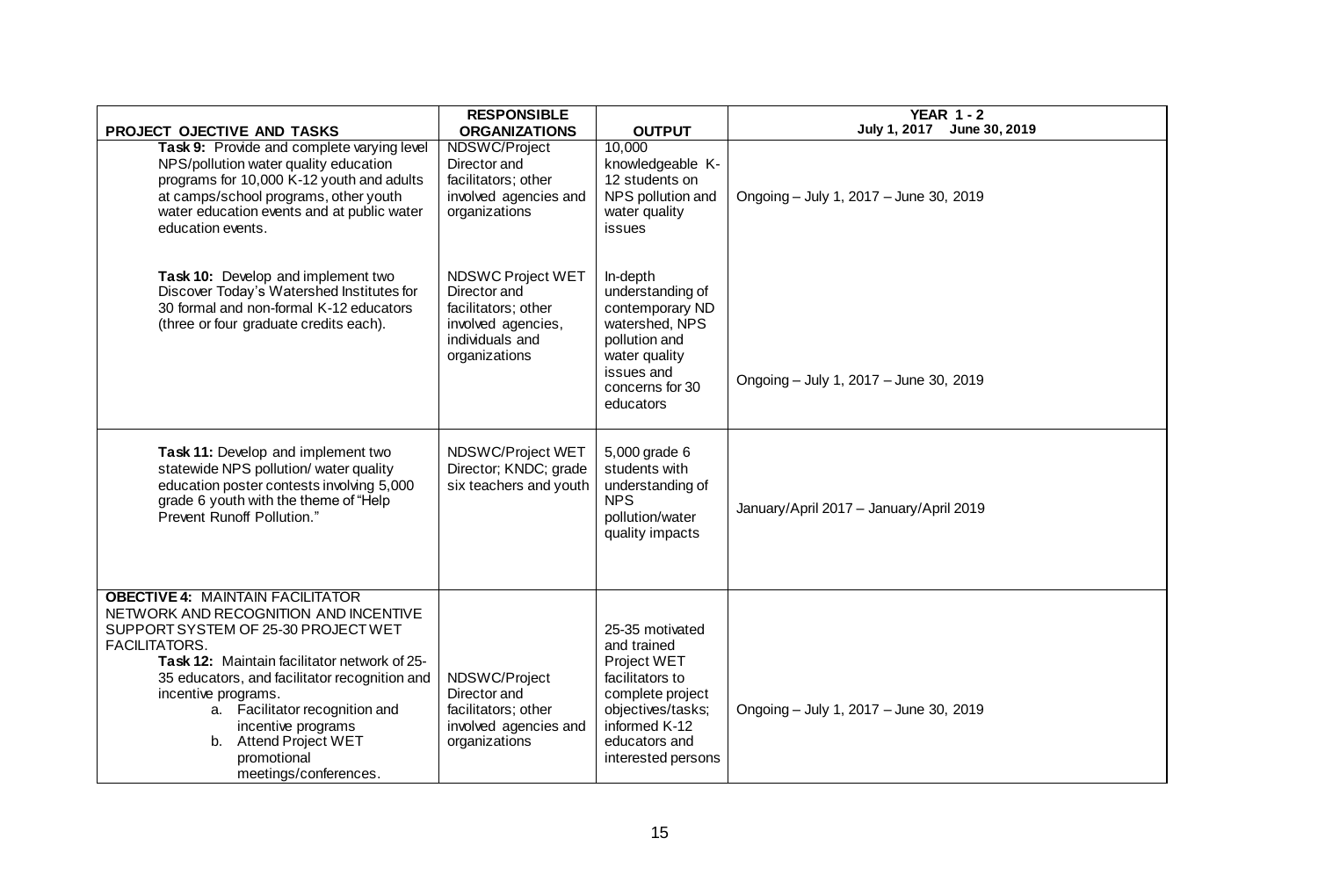| <b>PROJECT OJECTIVE AND TASKS</b>                                                                                                                                                                                                                                                                                                                                                                | <b>RESPONSIBLE</b><br><b>ORGANIZATIONS</b>                                                                         | <b>OUTPUT</b>                                                                                                                                                     | YEAR $1 - 2$<br>July 1, 2017 June 30, 2019 |
|--------------------------------------------------------------------------------------------------------------------------------------------------------------------------------------------------------------------------------------------------------------------------------------------------------------------------------------------------------------------------------------------------|--------------------------------------------------------------------------------------------------------------------|-------------------------------------------------------------------------------------------------------------------------------------------------------------------|--------------------------------------------|
| Task 9: Provide and complete varying level<br>NPS/pollution water quality education<br>programs for 10,000 K-12 youth and adults<br>at camps/school programs, other youth<br>water education events and at public water<br>education events.                                                                                                                                                     | NDSWC/Project<br>Director and<br>facilitators; other<br>involved agencies and<br>organizations                     | 10,000<br>knowledgeable K-<br>12 students on<br>NPS pollution and<br>water quality<br>issues                                                                      | Ongoing - July 1, 2017 - June 30, 2019     |
| Task 10: Develop and implement two<br>Discover Today's Watershed Institutes for<br>30 formal and non-formal K-12 educators<br>(three or four graduate credits each).                                                                                                                                                                                                                             | NDSWC Project WET<br>Director and<br>facilitators; other<br>involved agencies,<br>individuals and<br>organizations | In-depth<br>understanding of<br>contemporary ND<br>watershed, NPS<br>pollution and<br>water quality<br>issues and<br>concerns for 30<br>educators                 | Ongoing - July 1, 2017 - June 30, 2019     |
| Task 11: Develop and implement two<br>statewide NPS pollution/ water quality<br>education poster contests involving 5,000<br>grade 6 youth with the theme of "Help<br>Prevent Runoff Pollution."                                                                                                                                                                                                 | NDSWC/Project WET<br>Director; KNDC; grade<br>six teachers and youth                                               | 5,000 grade 6<br>students with<br>understanding of<br><b>NPS</b><br>pollution/water<br>quality impacts                                                            | January/April 2017 - January/April 2019    |
| <b>OBECTIVE 4: MAINTAIN FACILITATOR</b><br>NETWORK AND RECOGNITION AND INCENTIVE<br>SUPPORT SYSTEM OF 25-30 PROJECT WET<br><b>FACILITATORS.</b><br>Task 12: Maintain facilitator network of 25-<br>35 educators, and facilitator recognition and<br>incentive programs.<br>a. Facilitator recognition and<br>incentive programs<br>b. Attend Project WET<br>promotional<br>meetings/conferences. | NDSWC/Project<br>Director and<br>facilitators; other<br>involved agencies and<br>organizations                     | 25-35 motivated<br>and trained<br>Project WET<br>facilitators to<br>complete project<br>objectives/tasks;<br>informed K-12<br>educators and<br>interested persons | Ongoing - July 1, 2017 - June 30, 2019     |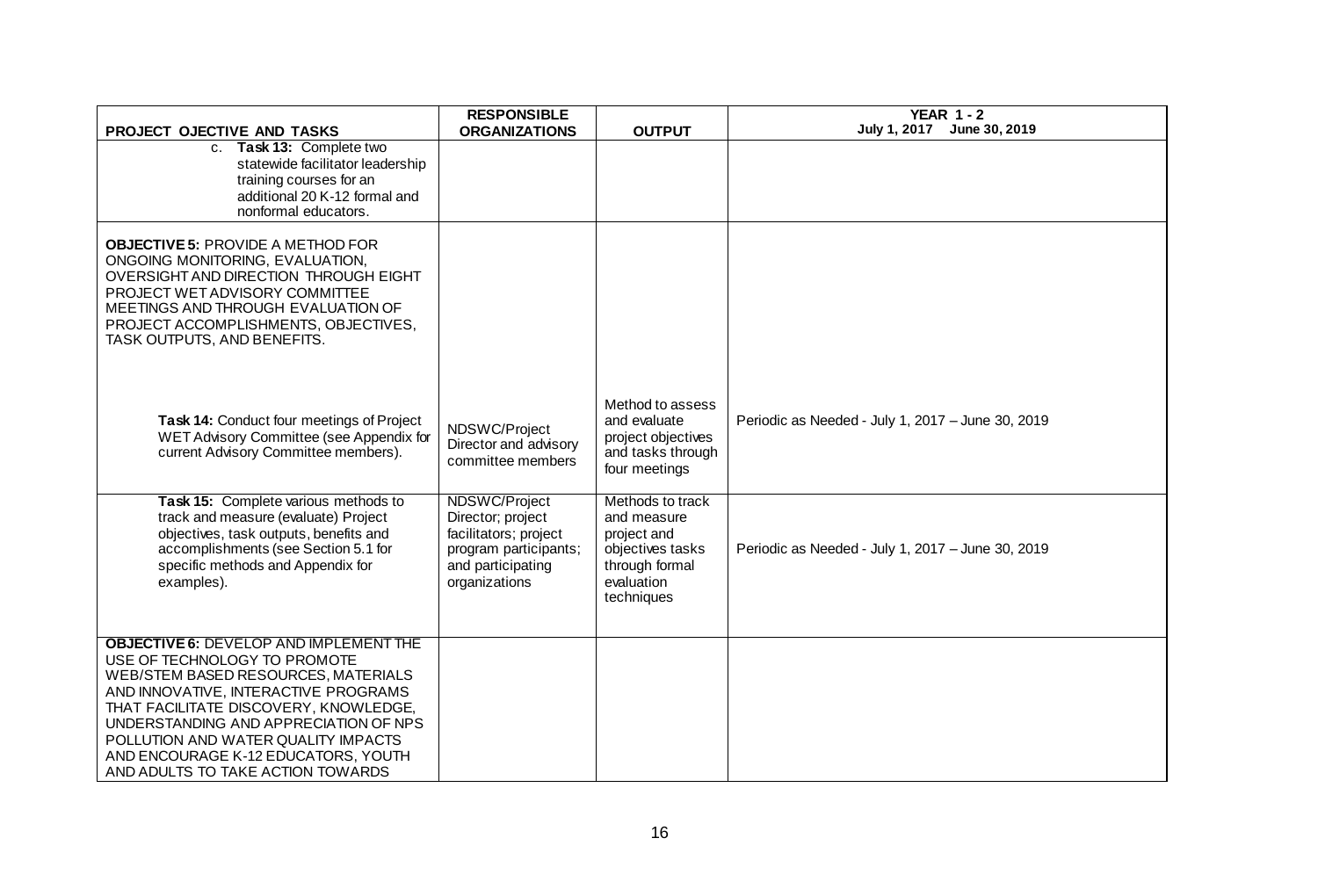| PROJECT OJECTIVE AND TASKS                                                                                                                                                                                                                                                                                                                                        | <b>RESPONSIBLE</b><br><b>ORGANIZATIONS</b>                                                                                 | <b>OUTPUT</b>                                                                                                    | <b>YEAR 1-2</b><br>July 1, 2017 June 30, 2019     |
|-------------------------------------------------------------------------------------------------------------------------------------------------------------------------------------------------------------------------------------------------------------------------------------------------------------------------------------------------------------------|----------------------------------------------------------------------------------------------------------------------------|------------------------------------------------------------------------------------------------------------------|---------------------------------------------------|
| c. Task 13: Complete two<br>statewide facilitator leadership<br>training courses for an<br>additional 20 K-12 formal and<br>nonformal educators.                                                                                                                                                                                                                  |                                                                                                                            |                                                                                                                  |                                                   |
| <b>OBJECTIVE 5: PROVIDE A METHOD FOR</b><br>ONGOING MONITORING, EVALUATION,<br>OVERSIGHT AND DIRECTION THROUGH EIGHT<br>PROJECT WET ADVISORY COMMITTEE<br>MEETINGS AND THROUGH EVALUATION OF<br>PROJECT ACCOMPLISHMENTS, OBJECTIVES,<br>TASK OUTPUTS, AND BENEFITS.                                                                                               |                                                                                                                            |                                                                                                                  |                                                   |
| Task 14: Conduct four meetings of Project<br>WET Advisory Committee (see Appendix for<br>current Advisory Committee members).                                                                                                                                                                                                                                     | NDSWC/Project<br>Director and advisory<br>committee members                                                                | Method to assess<br>and evaluate<br>project objectives<br>and tasks through<br>four meetings                     | Periodic as Needed - July 1, 2017 - June 30, 2019 |
| Task 15: Complete various methods to<br>track and measure (evaluate) Project<br>objectives, task outputs, benefits and<br>accomplishments (see Section 5.1 for<br>specific methods and Appendix for<br>examples).                                                                                                                                                 | NDSWC/Project<br>Director; project<br>facilitators; project<br>program participants;<br>and participating<br>organizations | Methods to track<br>and measure<br>project and<br>objectives tasks<br>through formal<br>evaluation<br>techniques | Periodic as Needed - July 1, 2017 - June 30, 2019 |
| <b>OBJECTIVE 6: DEVELOP AND IMPLEMENT THE</b><br>USE OF TECHNOLOGY TO PROMOTE<br>WEB/STEM BASED RESOURCES, MATERIALS<br>AND INNOVATIVE, INTERACTIVE PROGRAMS<br>THAT FACILITATE DISCOVERY, KNOWLEDGE,<br>UNDERSTANDING AND APPRECIATION OF NPS<br>POLLUTION AND WATER QUALITY IMPACTS<br>AND ENCOURAGE K-12 EDUCATORS, YOUTH<br>AND ADULTS TO TAKE ACTION TOWARDS |                                                                                                                            |                                                                                                                  |                                                   |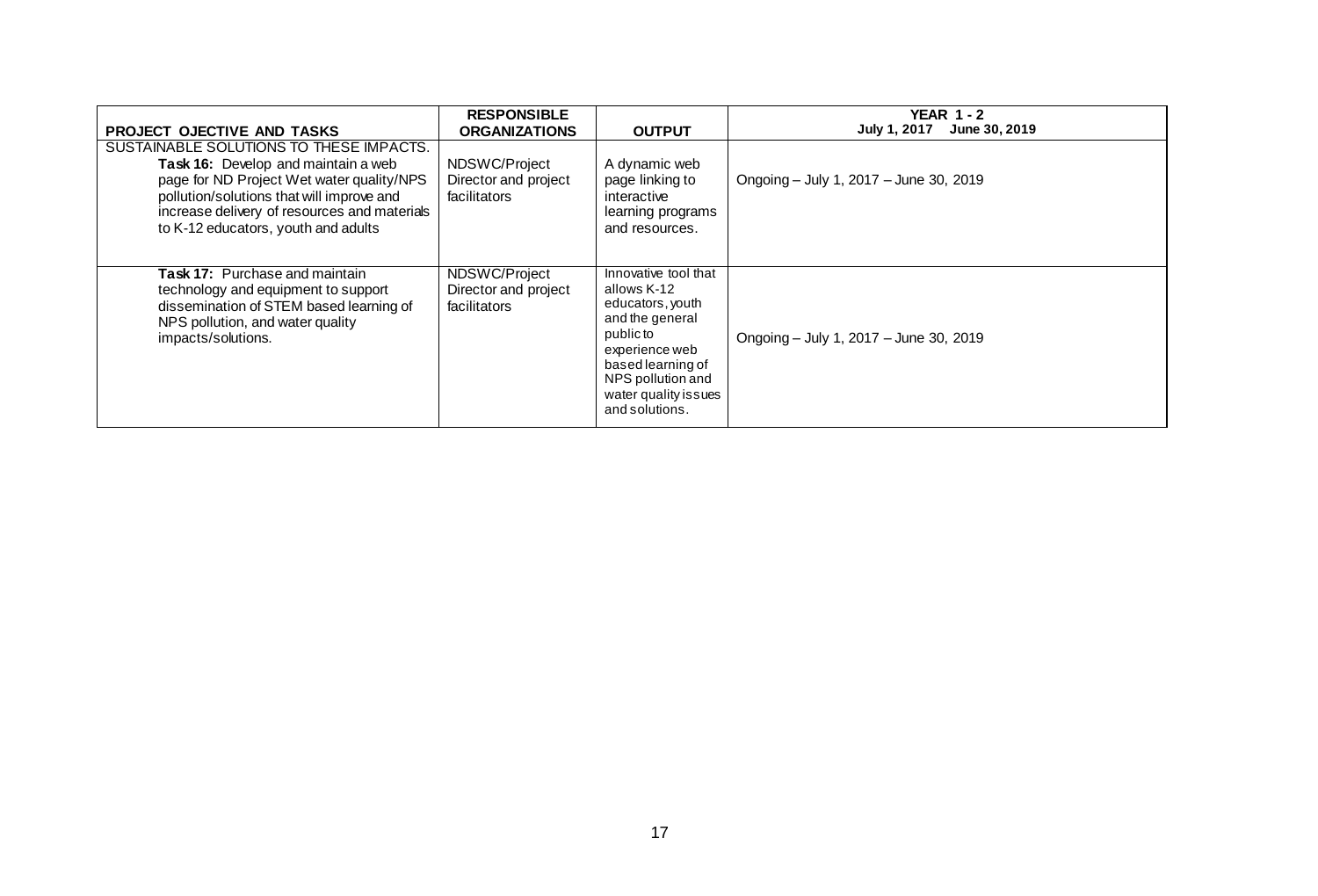|                                                                                                                                                                                                                                                                                                      | <b>RESPONSIBLE</b>                                                            |                                                                                                                                                                                               | YEAR $1 - 2$<br>July 1, 2017<br>June 30, 2019 |
|------------------------------------------------------------------------------------------------------------------------------------------------------------------------------------------------------------------------------------------------------------------------------------------------------|-------------------------------------------------------------------------------|-----------------------------------------------------------------------------------------------------------------------------------------------------------------------------------------------|-----------------------------------------------|
| <b>PROJECT OJECTIVE AND TASKS</b><br>SUSTAINABLE SOLUTIONS TO THESE IMPACTS.<br>Task 16: Develop and maintain a web<br>page for ND Project Wet water quality/NPS<br>pollution/solutions that will improve and<br>increase delivery of resources and materials<br>to K-12 educators, youth and adults | <b>ORGANIZATIONS</b><br>NDSWC/Project<br>Director and project<br>facilitators | <b>OUTPUT</b><br>A dynamic web<br>page linking to<br>interactive<br>learning programs<br>and resources.                                                                                       | Ongoing - July 1, 2017 - June 30, 2019        |
| <b>Task 17:</b> Purchase and maintain<br>technology and equipment to support<br>dissemination of STEM based learning of<br>NPS pollution, and water quality<br>impacts/solutions.                                                                                                                    | NDSWC/Project<br>Director and project<br>facilitators                         | Innovative tool that<br>allows K-12<br>educators, youth<br>and the general<br>public to<br>experience web<br>based learning of<br>NPS pollution and<br>water quality issues<br>and solutions. | Ongoing - July 1, 2017 - June 30, 2019        |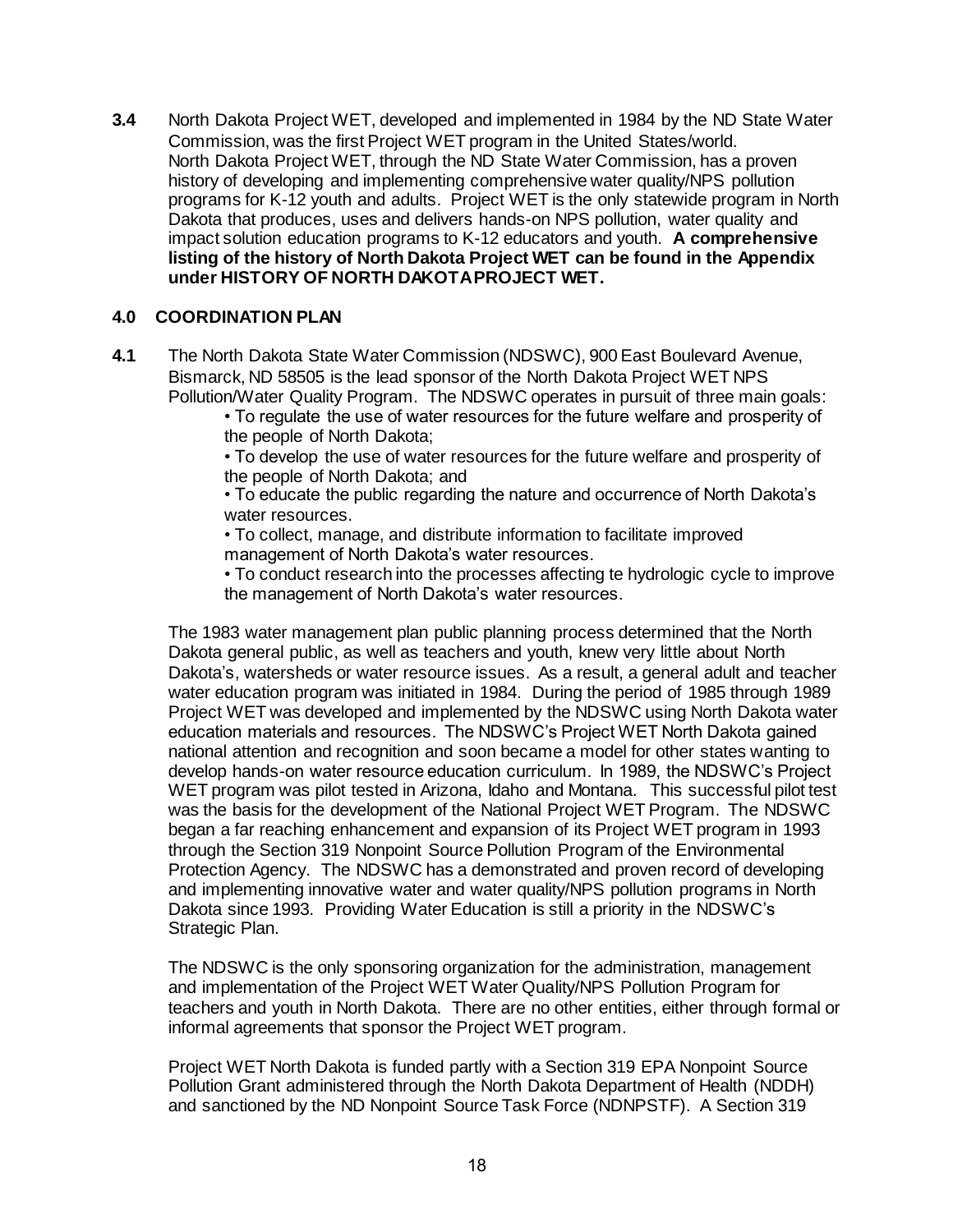**3.4** North Dakota Project WET, developed and implemented in 1984 by the ND State Water Commission, was the first Project WET program in the United States/world. North Dakota Project WET, through the ND State Water Commission, has a proven history of developing and implementing comprehensive water quality/NPS pollution programs for K-12 youth and adults. Project WET is the only statewide program in North Dakota that produces, uses and delivers hands-on NPS pollution, water quality and impact solution education programs to K-12 educators and youth. **A comprehensive listing of the history of North Dakota Project WET can be found in the Appendix under HISTORY OF NORTH DAKOTA PROJECT WET.** 

### **4.0 COORDINATION PLAN**

**4.1** The North Dakota State Water Commission (NDSWC), 900 East Boulevard Avenue, Bismarck, ND 58505 is the lead sponsor of the North Dakota Project WET NPS Pollution/Water Quality Program. The NDSWC operates in pursuit of three main goals:

• To regulate the use of water resources for the future welfare and prosperity of the people of North Dakota;

• To develop the use of water resources for the future welfare and prosperity of the people of North Dakota; and

• To educate the public regarding the nature and occurrence of North Dakota's water resources.

• To collect, manage, and distribute information to facilitate improved management of North Dakota's water resources.

• To conduct research into the processes affecting te hydrologic cycle to improve the management of North Dakota's water resources.

The 1983 water management plan public planning process determined that the North Dakota general public, as well as teachers and youth, knew very little about North Dakota's, watersheds or water resource issues. As a result, a general adult and teacher water education program was initiated in 1984. During the period of 1985 through 1989 Project WET was developed and implemented by the NDSWC using North Dakota water education materials and resources. The NDSWC's Project WET North Dakota gained national attention and recognition and soon became a model for other states wanting to develop hands-on water resource education curriculum. In 1989, the NDSWC's Project WET program was pilot tested in Arizona, Idaho and Montana. This successful pilot test was the basis for the development of the National Project WET Program. The NDSWC began a far reaching enhancement and expansion of its Project WET program in 1993 through the Section 319 Nonpoint Source Pollution Program of the Environmental Protection Agency. The NDSWC has a demonstrated and proven record of developing and implementing innovative water and water quality/NPS pollution programs in North Dakota since 1993. Providing Water Education is still a priority in the NDSWC's Strategic Plan.

The NDSWC is the only sponsoring organization for the administration, management and implementation of the Project WET Water Quality/NPS Pollution Program for teachers and youth in North Dakota. There are no other entities, either through formal or informal agreements that sponsor the Project WET program.

Project WET North Dakota is funded partly with a Section 319 EPA Nonpoint Source Pollution Grant administered through the North Dakota Department of Health (NDDH) and sanctioned by the ND Nonpoint Source Task Force (NDNPSTF). A Section 319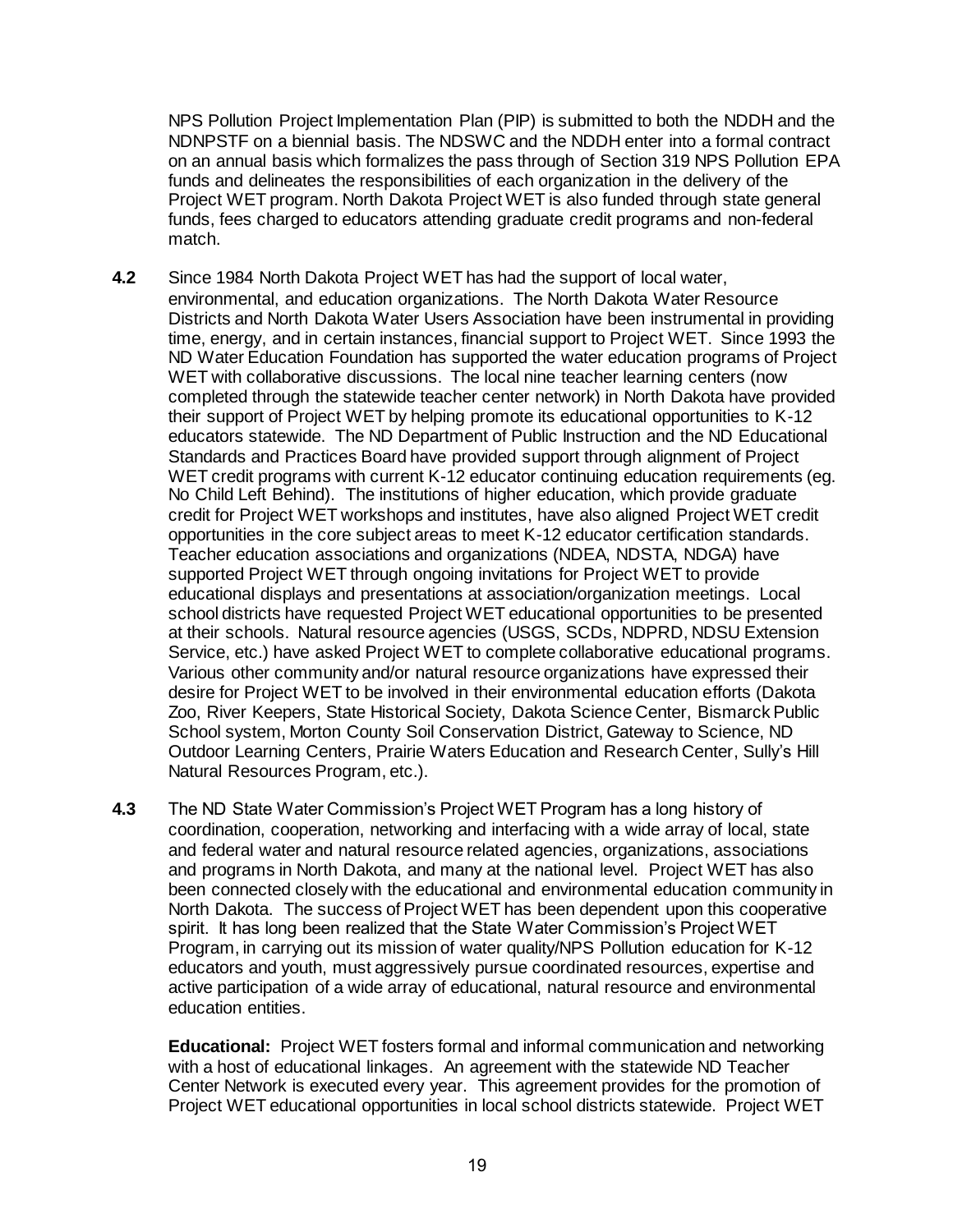NPS Pollution Project Implementation Plan (PIP) is submitted to both the NDDH and the NDNPSTF on a biennial basis. The NDSWC and the NDDH enter into a formal contract on an annual basis which formalizes the pass through of Section 319 NPS Pollution EPA funds and delineates the responsibilities of each organization in the delivery of the Project WET program. North Dakota Project WET is also funded through state general funds, fees charged to educators attending graduate credit programs and non-federal match.

- **4.2** Since 1984 North Dakota Project WET has had the support of local water, environmental, and education organizations. The North Dakota Water Resource Districts and North Dakota Water Users Association have been instrumental in providing time, energy, and in certain instances, financial support to Project WET. Since 1993 the ND Water Education Foundation has supported the water education programs of Project WET with collaborative discussions. The local nine teacher learning centers (now completed through the statewide teacher center network) in North Dakota have provided their support of Project WET by helping promote its educational opportunities to K-12 educators statewide. The ND Department of Public Instruction and the ND Educational Standards and Practices Board have provided support through alignment of Project WET credit programs with current K-12 educator continuing education requirements (eg. No Child Left Behind). The institutions of higher education, which provide graduate credit for Project WET workshops and institutes, have also aligned Project WET credit opportunities in the core subject areas to meet K-12 educator certification standards. Teacher education associations and organizations (NDEA, NDSTA, NDGA) have supported Project WET through ongoing invitations for Project WET to provide educational displays and presentations at association/organization meetings. Local school districts have requested Project WET educational opportunities to be presented at their schools. Natural resource agencies (USGS, SCDs, NDPRD, NDSU Extension Service, etc.) have asked Project WET to complete collaborative educational programs. Various other community and/or natural resource organizations have expressed their desire for Project WET to be involved in their environmental education efforts (Dakota Zoo, River Keepers, State Historical Society, Dakota Science Center, Bismarck Public School system, Morton County Soil Conservation District, Gateway to Science, ND Outdoor Learning Centers, Prairie Waters Education and Research Center, Sully's Hill Natural Resources Program, etc.).
- **4.3** The ND State Water Commission's Project WET Program has a long history of coordination, cooperation, networking and interfacing with a wide array of local, state and federal water and natural resource related agencies, organizations, associations and programs in North Dakota, and many at the national level. Project WET has also been connected closely with the educational and environmental education community in North Dakota. The success of Project WET has been dependent upon this cooperative spirit. It has long been realized that the State Water Commission's Project WET Program, in carrying out its mission of water quality/NPS Pollution education for K-12 educators and youth, must aggressively pursue coordinated resources, expertise and active participation of a wide array of educational, natural resource and environmental education entities.

**Educational:** Project WET fosters formal and informal communication and networking with a host of educational linkages. An agreement with the statewide ND Teacher Center Network is executed every year. This agreement provides for the promotion of Project WET educational opportunities in local school districts statewide. Project WET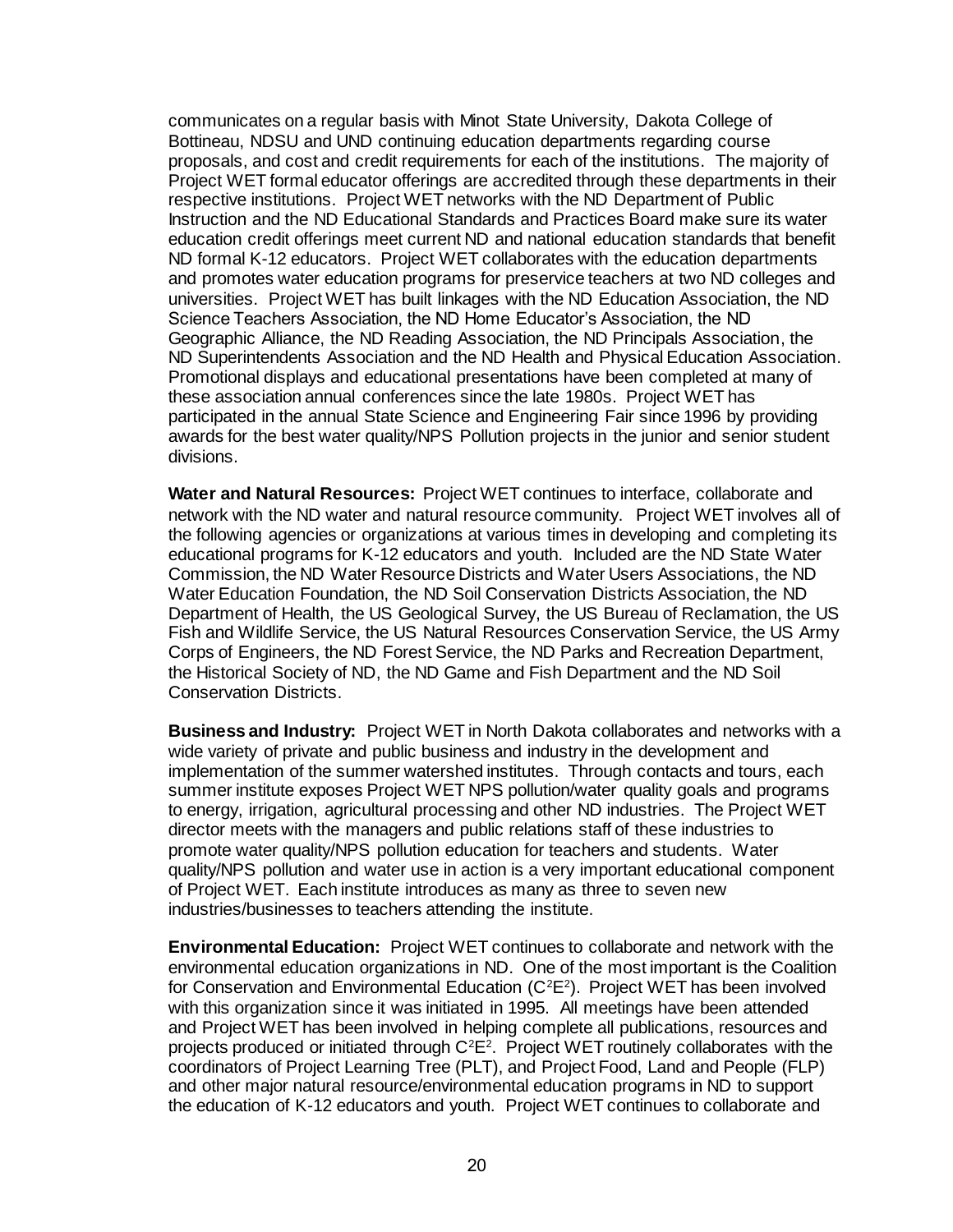communicates on a regular basis with Minot State University, Dakota College of Bottineau, NDSU and UND continuing education departments regarding course proposals, and cost and credit requirements for each of the institutions. The majority of Project WET formal educator offerings are accredited through these departments in their respective institutions. Project WET networks with the ND Department of Public Instruction and the ND Educational Standards and Practices Board make sure its water education credit offerings meet current ND and national education standards that benefit ND formal K-12 educators. Project WET collaborates with the education departments and promotes water education programs for preservice teachers at two ND colleges and universities. Project WET has built linkages with the ND Education Association, the ND Science Teachers Association, the ND Home Educator's Association, the ND Geographic Alliance, the ND Reading Association, the ND Principals Association, the ND Superintendents Association and the ND Health and Physical Education Association. Promotional displays and educational presentations have been completed at many of these association annual conferences since the late 1980s. Project WET has participated in the annual State Science and Engineering Fair since 1996 by providing awards for the best water quality/NPS Pollution projects in the junior and senior student divisions.

**Water and Natural Resources:** Project WET continues to interface, collaborate and network with the ND water and natural resource community. Project WET involves all of the following agencies or organizations at various times in developing and completing its educational programs for K-12 educators and youth. Included are the ND State Water Commission, the ND Water Resource Districts and Water Users Associations, the ND Water Education Foundation, the ND Soil Conservation Districts Association, the ND Department of Health, the US Geological Survey, the US Bureau of Reclamation, the US Fish and Wildlife Service, the US Natural Resources Conservation Service, the US Army Corps of Engineers, the ND Forest Service, the ND Parks and Recreation Department, the Historical Society of ND, the ND Game and Fish Department and the ND Soil Conservation Districts.

**Business and Industry:** Project WET in North Dakota collaborates and networks with a wide variety of private and public business and industry in the development and implementation of the summer watershed institutes. Through contacts and tours, each summer institute exposes Project WET NPS pollution/water quality goals and programs to energy, irrigation, agricultural processing and other ND industries. The Project WET director meets with the managers and public relations staff of these industries to promote water quality/NPS pollution education for teachers and students. Water quality/NPS pollution and water use in action is a very important educational component of Project WET. Each institute introduces as many as three to seven new industries/businesses to teachers attending the institute.

**Environmental Education:** Project WET continues to collaborate and network with the environmental education organizations in ND. One of the most important is the Coalition for Conservation and Environmental Education ( $C<sup>2</sup>E<sup>2</sup>$ ). Project WET has been involved with this organization since it was initiated in 1995. All meetings have been attended and Project WET has been involved in helping complete all publications, resources and projects produced or initiated through  $C^2E^2$ . Project WET routinely collaborates with the coordinators of Project Learning Tree (PLT), and Project Food, Land and People (FLP) and other major natural resource/environmental education programs in ND to support the education of K-12 educators and youth. Project WET continues to collaborate and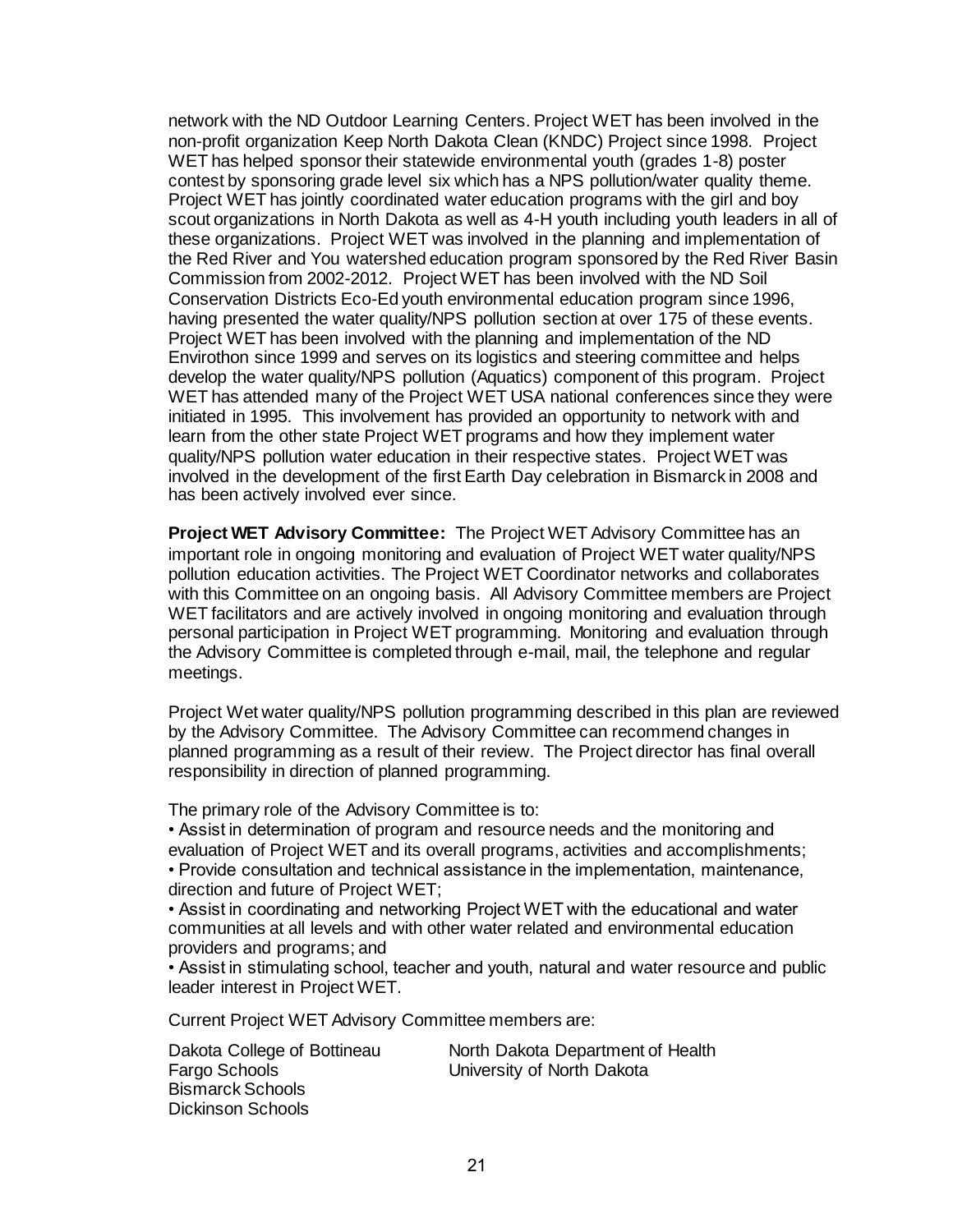network with the ND Outdoor Learning Centers. Project WET has been involved in the non-profit organization Keep North Dakota Clean (KNDC) Project since 1998. Project WET has helped sponsor their statewide environmental youth (grades 1-8) poster contest by sponsoring grade level six which has a NPS pollution/water quality theme. Project WET has jointly coordinated water education programs with the girl and boy scout organizations in North Dakota as well as 4-H youth including youth leaders in all of these organizations. Project WET was involved in the planning and implementation of the Red River and You watershed education program sponsored by the Red River Basin Commission from 2002-2012. Project WET has been involved with the ND Soil Conservation Districts Eco-Ed youth environmental education program since 1996, having presented the water quality/NPS pollution section at over 175 of these events. Project WET has been involved with the planning and implementation of the ND Envirothon since 1999 and serves on its logistics and steering committee and helps develop the water quality/NPS pollution (Aquatics) component of this program. Project WET has attended many of the Project WET USA national conferences since they were initiated in 1995. This involvement has provided an opportunity to network with and learn from the other state Project WET programs and how they implement water quality/NPS pollution water education in their respective states. Project WET was involved in the development of the first Earth Day celebration in Bismarck in 2008 and has been actively involved ever since.

**Project WET Advisory Committee:** The Project WET Advisory Committee has an important role in ongoing monitoring and evaluation of Project WET water quality/NPS pollution education activities. The Project WET Coordinator networks and collaborates with this Committee on an ongoing basis. All Advisory Committee members are Project WET facilitators and are actively involved in ongoing monitoring and evaluation through personal participation in Project WET programming. Monitoring and evaluation through the Advisory Committee is completed through e-mail, mail, the telephone and regular meetings.

Project Wet water quality/NPS pollution programming described in this plan are reviewed by the Advisory Committee. The Advisory Committee can recommend changes in planned programming as a result of their review. The Project director has final overall responsibility in direction of planned programming.

The primary role of the Advisory Committee is to:

• Assist in determination of program and resource needs and the monitoring and

evaluation of Project WET and its overall programs, activities and accomplishments;

• Provide consultation and technical assistance in the implementation, maintenance, direction and future of Project WET;

• Assist in coordinating and networking Project WET with the educational and water communities at all levels and with other water related and environmental education providers and programs; and

• Assist in stimulating school, teacher and youth, natural and water resource and public leader interest in Project WET.

Current Project WET Advisory Committee members are:

Fargo Schools University of North Dakota Bismarck Schools Dickinson Schools

Dakota College of Bottineau North Dakota Department of Health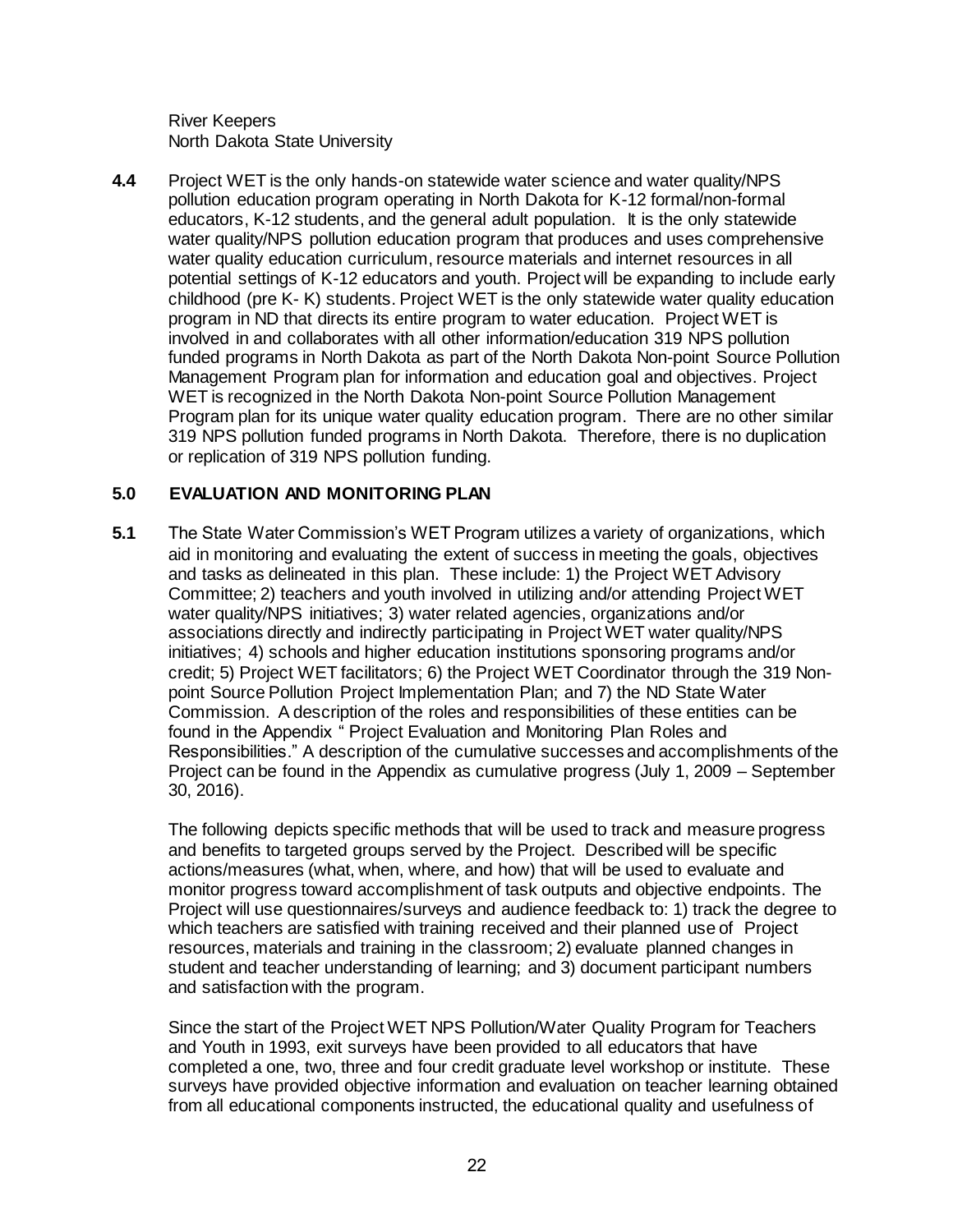River Keepers North Dakota State University

**4.4** Project WET is the only hands-on statewide water science and water quality/NPS pollution education program operating in North Dakota for K-12 formal/non-formal educators, K-12 students, and the general adult population. It is the only statewide water quality/NPS pollution education program that produces and uses comprehensive water quality education curriculum, resource materials and internet resources in all potential settings of K-12 educators and youth. Project will be expanding to include early childhood (pre K- K) students. Project WET is the only statewide water quality education program in ND that directs its entire program to water education. Project WET is involved in and collaborates with all other information/education 319 NPS pollution funded programs in North Dakota as part of the North Dakota Non-point Source Pollution Management Program plan for information and education goal and objectives. Project WET is recognized in the North Dakota Non-point Source Pollution Management Program plan for its unique water quality education program. There are no other similar 319 NPS pollution funded programs in North Dakota. Therefore, there is no duplication or replication of 319 NPS pollution funding.

# **5.0 EVALUATION AND MONITORING PLAN**

**5.1** The State Water Commission's WET Program utilizes a variety of organizations, which aid in monitoring and evaluating the extent of success in meeting the goals, objectives and tasks as delineated in this plan. These include: 1) the Project WET Advisory Committee; 2) teachers and youth involved in utilizing and/or attending Project WET water quality/NPS initiatives; 3) water related agencies, organizations and/or associations directly and indirectly participating in Project WET water quality/NPS initiatives; 4) schools and higher education institutions sponsoring programs and/or credit; 5) Project WET facilitators; 6) the Project WET Coordinator through the 319 Nonpoint Source Pollution Project Implementation Plan; and 7) the ND State Water Commission. A description of the roles and responsibilities of these entities can be found in the Appendix " Project Evaluation and Monitoring Plan Roles and Responsibilities." A description of the cumulative successes and accomplishments of the Project can be found in the Appendix as cumulative progress (July 1, 2009 – September 30, 2016).

The following depicts specific methods that will be used to track and measure progress and benefits to targeted groups served by the Project. Described will be specific actions/measures (what, when, where, and how) that will be used to evaluate and monitor progress toward accomplishment of task outputs and objective endpoints. The Project will use questionnaires/surveys and audience feedback to: 1) track the degree to which teachers are satisfied with training received and their planned use of Project resources, materials and training in the classroom; 2) evaluate planned changes in student and teacher understanding of learning; and 3) document participant numbers and satisfaction with the program.

Since the start of the Project WET NPS Pollution/Water Quality Program for Teachers and Youth in 1993, exit surveys have been provided to all educators that have completed a one, two, three and four credit graduate level workshop or institute. These surveys have provided objective information and evaluation on teacher learning obtained from all educational components instructed, the educational quality and usefulness of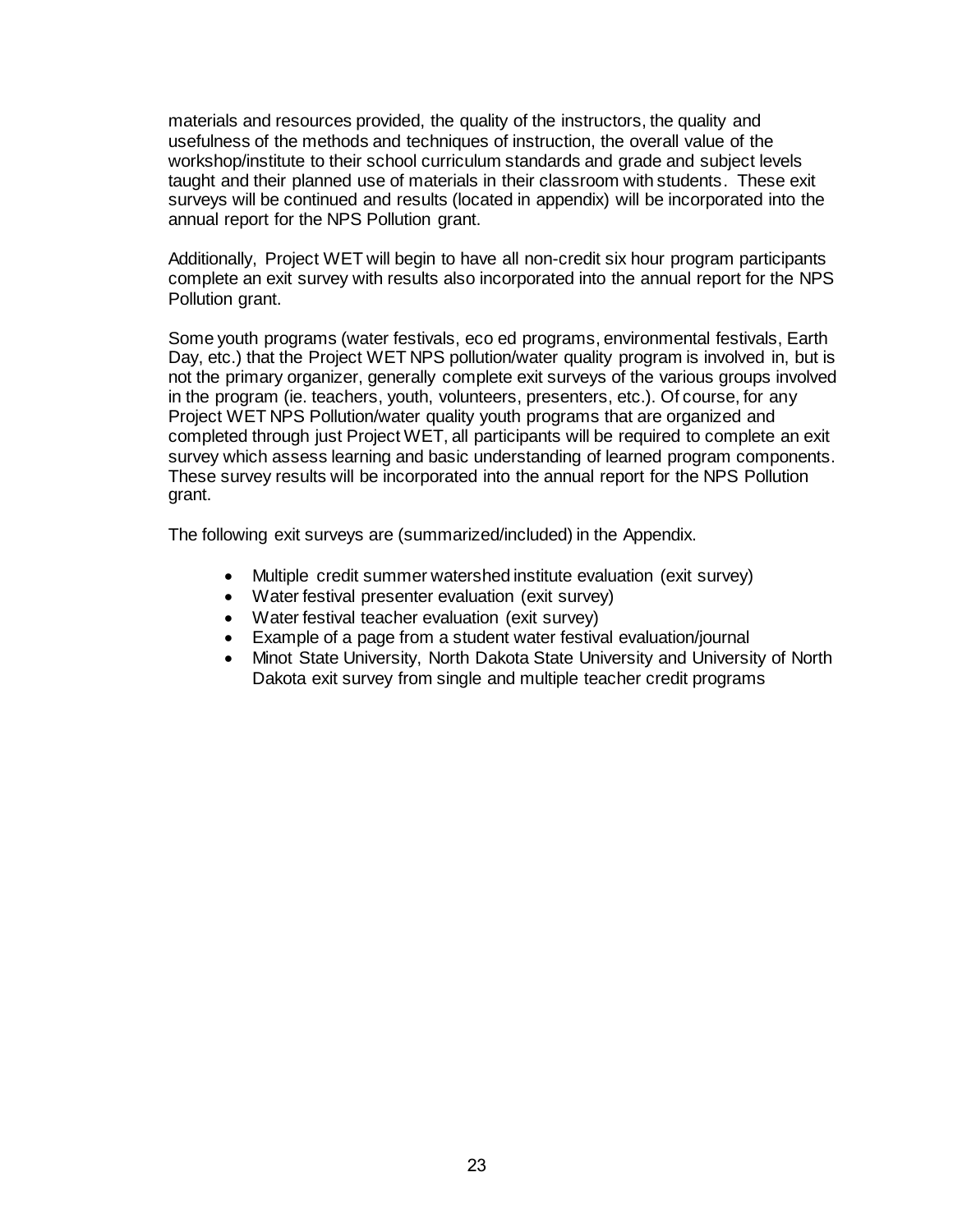materials and resources provided, the quality of the instructors, the quality and usefulness of the methods and techniques of instruction, the overall value of the workshop/institute to their school curriculum standards and grade and subject levels taught and their planned use of materials in their classroom with students. These exit surveys will be continued and results (located in appendix) will be incorporated into the annual report for the NPS Pollution grant.

Additionally, Project WET will begin to have all non-credit six hour program participants complete an exit survey with results also incorporated into the annual report for the NPS Pollution grant.

Some youth programs (water festivals, eco ed programs, environmental festivals, Earth Day, etc.) that the Project WET NPS pollution/water quality program is involved in, but is not the primary organizer, generally complete exit surveys of the various groups involved in the program (ie. teachers, youth, volunteers, presenters, etc.). Of course, for any Project WET NPS Pollution/water quality youth programs that are organized and completed through just Project WET, all participants will be required to complete an exit survey which assess learning and basic understanding of learned program components. These survey results will be incorporated into the annual report for the NPS Pollution grant.

The following exit surveys are (summarized/included) in the Appendix.

- Multiple credit summer watershed institute evaluation (exit survey)
- Water festival presenter evaluation (exit survey)
- Water festival teacher evaluation (exit survey)
- Example of a page from a student water festival evaluation/journal
- Minot State University, North Dakota State University and University of North Dakota exit survey from single and multiple teacher credit programs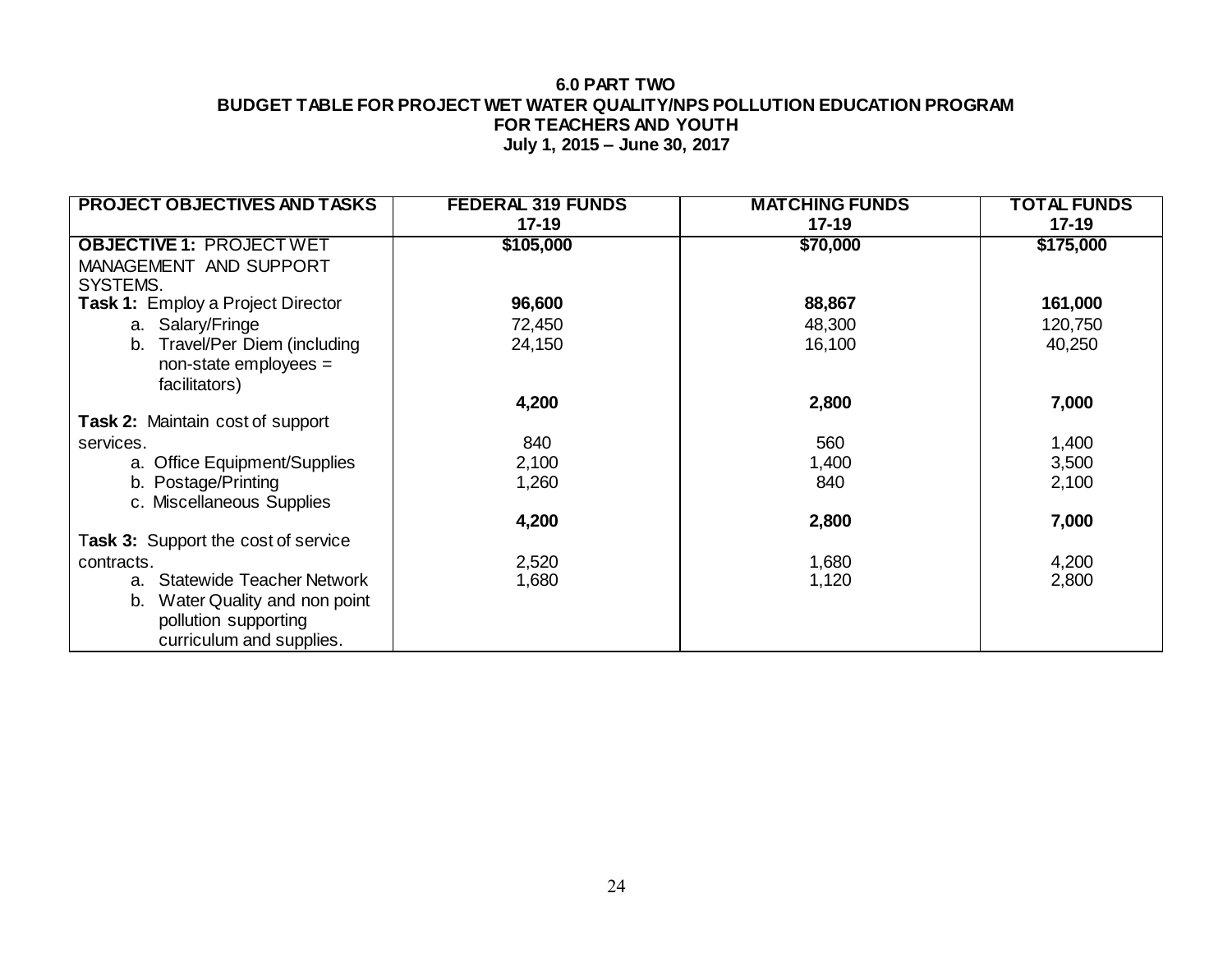#### **6.0 PART TWO BUDGET TABLE FOR PROJECT WET WATER QUALITY/NPS POLLUTION EDUCATION PROGRAM FOR TEACHERS AND YOUTH July 1, 2015 – June 30, 2017**

| <b>PROJECT OBJECTIVES AND TASKS</b>      | <b>FEDERAL 319 FUNDS</b> | <b>MATCHING FUNDS</b> | TOTAL FUNDS |
|------------------------------------------|--------------------------|-----------------------|-------------|
|                                          | $17-19$                  | $17 - 19$             | $17 - 19$   |
| <b>OBJECTIVE 1: PROJECT WET</b>          | \$105,000                | \$70,000              | \$175,000   |
| MANAGEMENT AND SUPPORT<br>SYSTEMS.       |                          |                       |             |
|                                          |                          |                       |             |
| <b>Task 1: Employ a Project Director</b> | 96,600                   | 88,867                | 161,000     |
| a. Salary/Fringe                         | 72,450                   | 48,300                | 120,750     |
| Travel/Per Diem (including<br>b.         | 24,150                   | 16,100                | 40,250      |
| $non-state$ employees =                  |                          |                       |             |
| facilitators)                            |                          |                       |             |
|                                          | 4,200                    | 2,800                 | 7,000       |
| <b>Task 2: Maintain cost of support</b>  |                          |                       |             |
| services.                                | 840                      | 560                   | 1,400       |
| a. Office Equipment/Supplies             | 2,100                    | 1,400                 | 3,500       |
| b. Postage/Printing                      | 1,260                    | 840                   | 2,100       |
| c. Miscellaneous Supplies                |                          |                       |             |
|                                          | 4,200                    | 2,800                 | 7,000       |
| Task 3: Support the cost of service      |                          |                       |             |
| contracts.                               | 2,520                    | 1,680                 | 4,200       |
| a. Statewide Teacher Network             | 1,680                    | 1,120                 | 2,800       |
| Water Quality and non point<br>b.        |                          |                       |             |
| pollution supporting                     |                          |                       |             |
|                                          |                          |                       |             |
| curriculum and supplies.                 |                          |                       |             |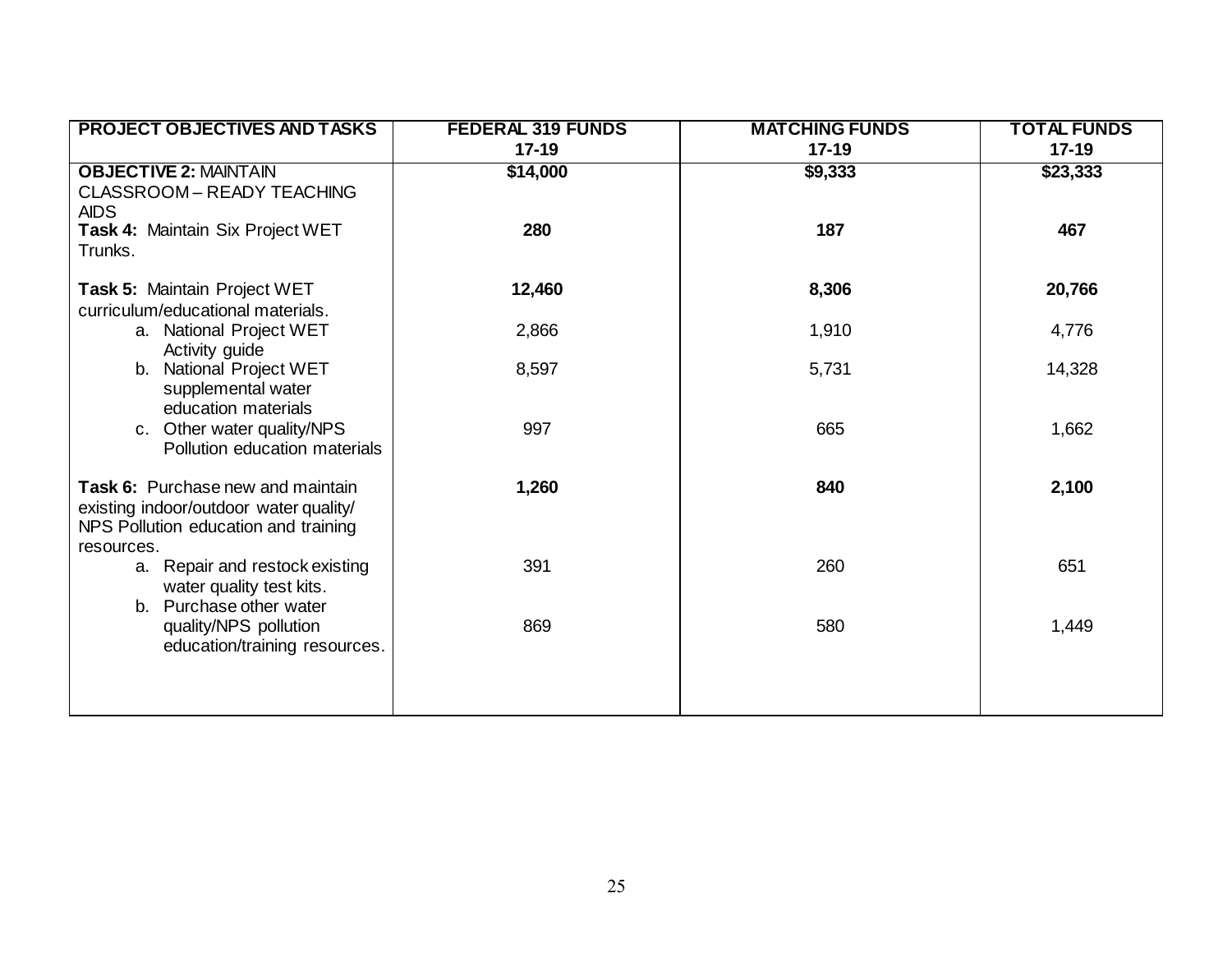| <b>PROJECT OBJECTIVES AND TASKS</b>          | <b>FEDERAL 319 FUNDS</b> | <b>MATCHING FUNDS</b> | <b>TOTAL FUNDS</b> |
|----------------------------------------------|--------------------------|-----------------------|--------------------|
|                                              | $17 - 19$                | $17 - 19$             | $17 - 19$          |
| <b>OBJECTIVE 2: MAINTAIN</b>                 | \$14,000                 | \$9,333               | \$23,333           |
| CLASSROOM - READY TEACHING                   |                          |                       |                    |
| <b>AIDS</b>                                  |                          |                       |                    |
| Task 4: Maintain Six Project WET             | 280                      | 187                   | 467                |
| Trunks.                                      |                          |                       |                    |
|                                              |                          |                       |                    |
| Task 5: Maintain Project WET                 | 12,460                   | 8,306                 | 20,766             |
| curriculum/educational materials.            |                          |                       |                    |
| a. National Project WET<br>Activity guide    | 2,866                    | 1,910                 | 4,776              |
| b. National Project WET                      | 8,597                    | 5,731                 | 14,328             |
| supplemental water                           |                          |                       |                    |
| education materials                          |                          |                       |                    |
| c. Other water quality/NPS                   | 997                      | 665                   | 1,662              |
| Pollution education materials                |                          |                       |                    |
|                                              |                          |                       |                    |
| Task 6: Purchase new and maintain            | 1,260                    | 840                   | 2,100              |
| existing indoor/outdoor water quality/       |                          |                       |                    |
| NPS Pollution education and training         |                          |                       |                    |
| resources.<br>a. Repair and restock existing | 391                      | 260                   | 651                |
| water quality test kits.                     |                          |                       |                    |
| b. Purchase other water                      |                          |                       |                    |
| quality/NPS pollution                        | 869                      | 580                   | 1,449              |
| education/training resources.                |                          |                       |                    |
|                                              |                          |                       |                    |
|                                              |                          |                       |                    |
|                                              |                          |                       |                    |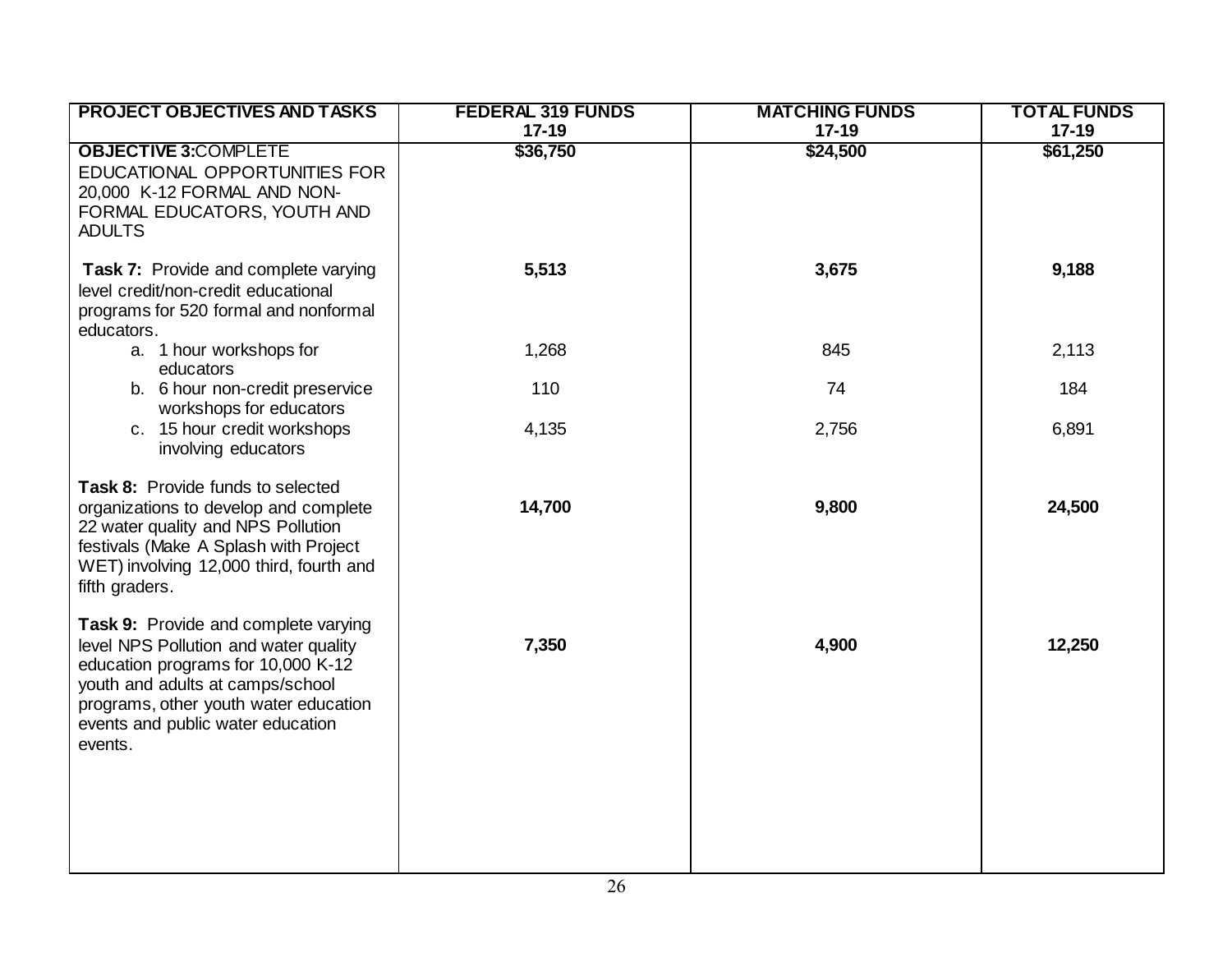| <b>PROJECT OBJECTIVES AND TASKS</b>                                                                                                                                                                                                              | <b>FEDERAL 319 FUNDS</b><br>$17 - 19$ | <b>MATCHING FUNDS</b><br>$17 - 19$ | <b>TOTAL FUNDS</b><br>$17 - 19$ |
|--------------------------------------------------------------------------------------------------------------------------------------------------------------------------------------------------------------------------------------------------|---------------------------------------|------------------------------------|---------------------------------|
| <b>OBJECTIVE 3:COMPLETE</b><br>EDUCATIONAL OPPORTUNITIES FOR<br>20,000 K-12 FORMAL AND NON-<br>FORMAL EDUCATORS, YOUTH AND<br><b>ADULTS</b>                                                                                                      | \$36,750                              | \$24,500                           | \$61,250                        |
| Task 7: Provide and complete varying<br>level credit/non-credit educational<br>programs for 520 formal and nonformal<br>educators.                                                                                                               | 5,513                                 | 3,675                              | 9,188                           |
| a. 1 hour workshops for<br>educators                                                                                                                                                                                                             | 1,268                                 | 845                                | 2,113                           |
| b. 6 hour non-credit preservice<br>workshops for educators                                                                                                                                                                                       | 110                                   | 74                                 | 184                             |
| c. 15 hour credit workshops<br>involving educators                                                                                                                                                                                               | 4,135                                 | 2,756                              | 6,891                           |
| Task 8: Provide funds to selected<br>organizations to develop and complete<br>22 water quality and NPS Pollution<br>festivals (Make A Splash with Project<br>WET) involving 12,000 third, fourth and<br>fifth graders.                           | 14,700                                | 9,800                              | 24,500                          |
| Task 9: Provide and complete varying<br>level NPS Pollution and water quality<br>education programs for 10,000 K-12<br>youth and adults at camps/school<br>programs, other youth water education<br>events and public water education<br>events. | 7,350                                 | 4,900                              | 12,250                          |
|                                                                                                                                                                                                                                                  |                                       |                                    |                                 |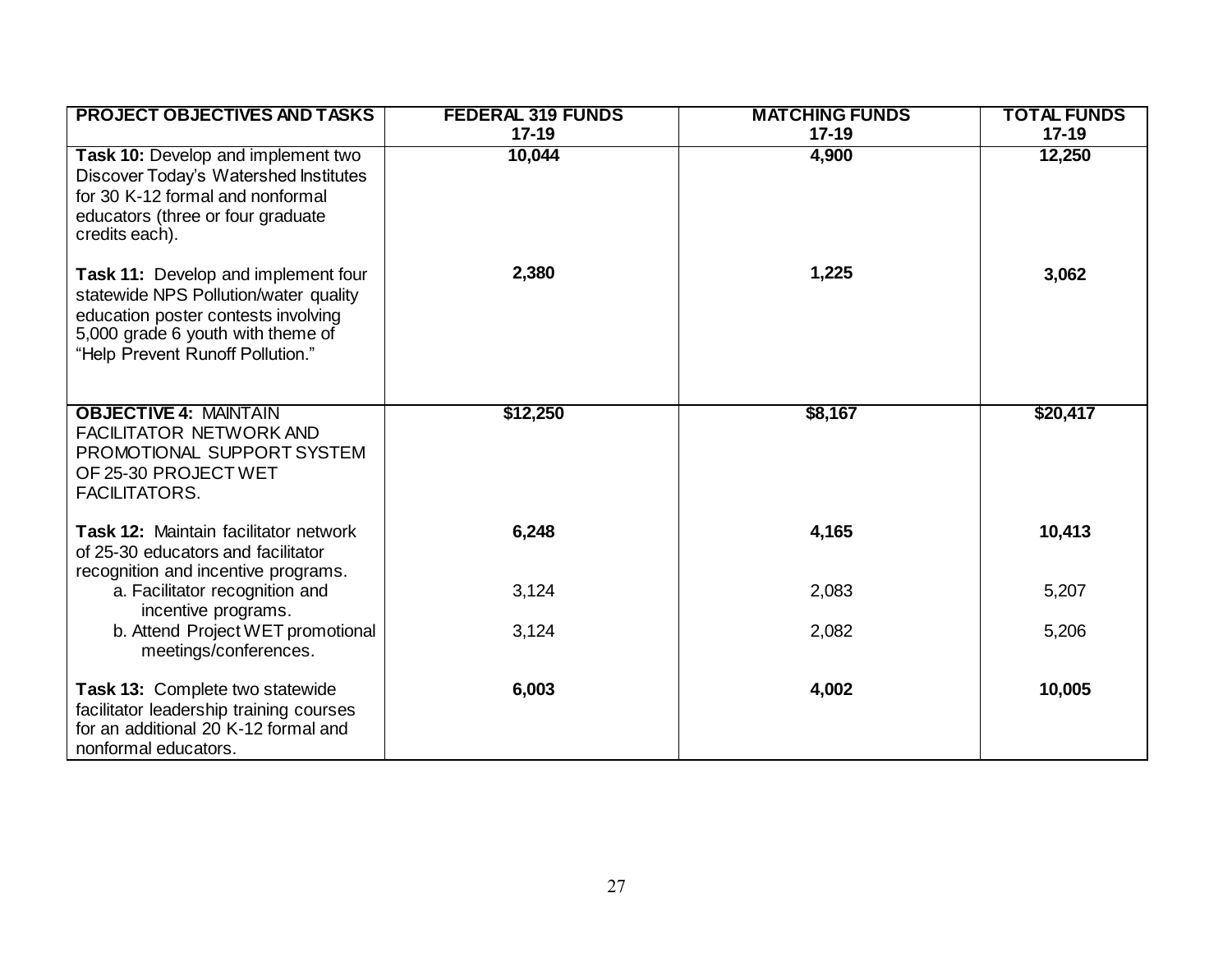| <b>PROJECT OBJECTIVES AND TASKS</b>                                                                                                                                                          | <b>FEDERAL 319 FUNDS</b> | <b>MATCHING FUNDS</b> | <b>TOTAL FUNDS</b> |
|----------------------------------------------------------------------------------------------------------------------------------------------------------------------------------------------|--------------------------|-----------------------|--------------------|
|                                                                                                                                                                                              | $17 - 19$                | $17-19$               | $17 - 19$          |
| Task 10: Develop and implement two<br>Discover Today's Watershed Institutes<br>for 30 K-12 formal and nonformal<br>educators (three or four graduate<br>credits each).                       | 10,044                   | 4,900                 | 12,250             |
| Task 11: Develop and implement four<br>statewide NPS Pollution/water quality<br>education poster contests involving<br>5,000 grade 6 youth with theme of<br>"Help Prevent Runoff Pollution." | 2,380                    | 1,225                 | 3,062              |
| <b>OBJECTIVE 4: MAINTAIN</b><br><b>FACILITATOR NETWORK AND</b><br>PROMOTIONAL SUPPORT SYSTEM<br>OF 25-30 PROJECT WET<br>FACILITATORS.                                                        | \$12,250                 | \$8,167               | \$20,417           |
| Task 12: Maintain facilitator network<br>of 25-30 educators and facilitator<br>recognition and incentive programs.                                                                           | 6,248                    | 4,165                 | 10,413             |
| a. Facilitator recognition and<br>incentive programs.                                                                                                                                        | 3,124                    | 2,083                 | 5,207              |
| b. Attend Project WET promotional<br>meetings/conferences.                                                                                                                                   | 3,124                    | 2,082                 | 5,206              |
| Task 13: Complete two statewide<br>facilitator leadership training courses<br>for an additional 20 K-12 formal and<br>nonformal educators.                                                   | 6,003                    | 4,002                 | 10,005             |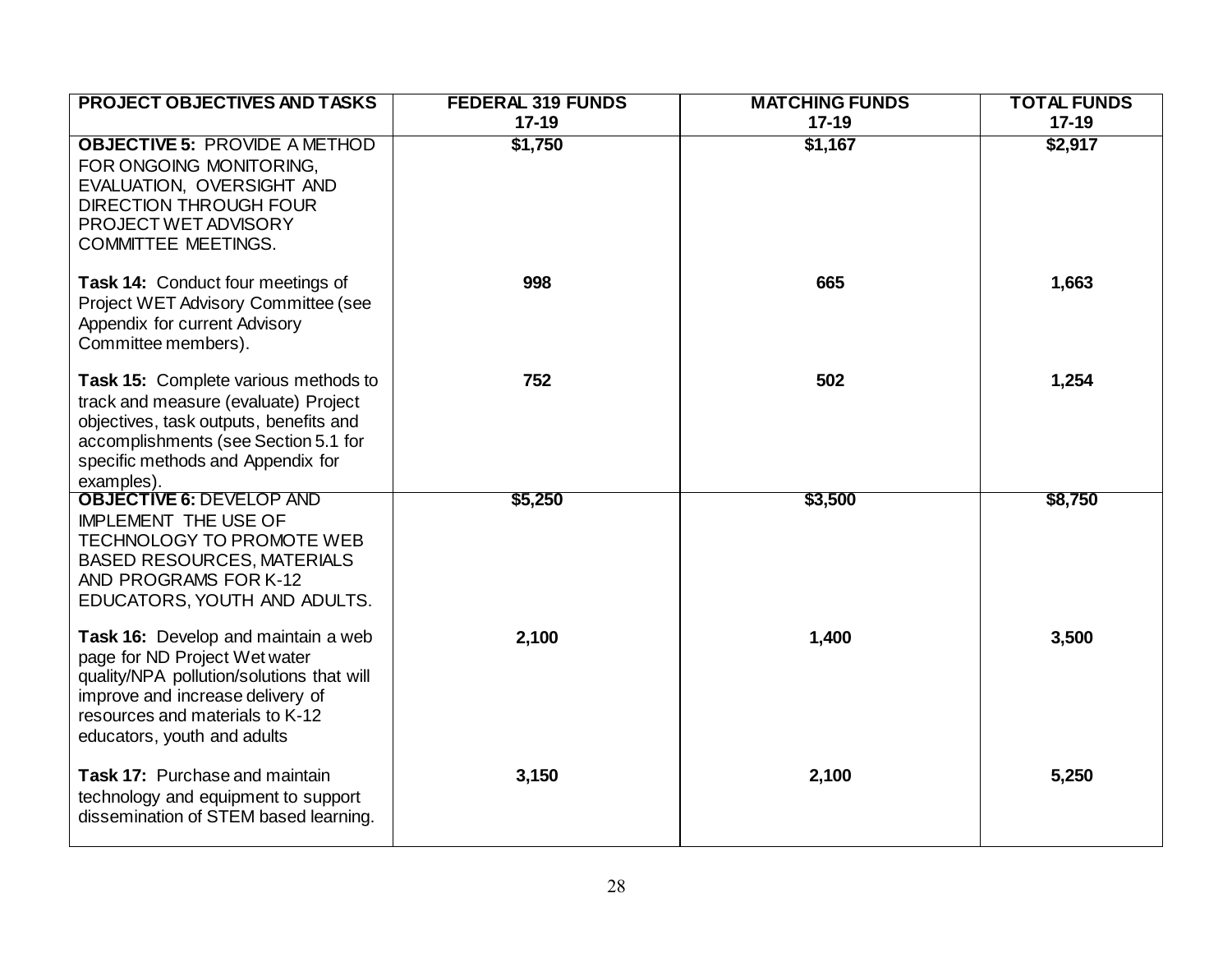| <b>PROJECT OBJECTIVES AND TASKS</b>                                       | <b>FEDERAL 319 FUNDS</b> | <b>MATCHING FUNDS</b> | <b>TOTAL FUNDS</b>   |
|---------------------------------------------------------------------------|--------------------------|-----------------------|----------------------|
| <b>OBJECTIVE 5: PROVIDE A METHOD</b>                                      | $17 - 19$<br>\$1,750     | $17 - 19$<br>\$1,167  | $17 - 19$<br>\$2,917 |
| FOR ONGOING MONITORING,                                                   |                          |                       |                      |
| EVALUATION, OVERSIGHT AND                                                 |                          |                       |                      |
| <b>DIRECTION THROUGH FOUR</b>                                             |                          |                       |                      |
| PROJECT WET ADVISORY                                                      |                          |                       |                      |
| <b>COMMITTEE MEETINGS.</b>                                                |                          |                       |                      |
| Task 14: Conduct four meetings of                                         | 998                      | 665                   | 1,663                |
| Project WET Advisory Committee (see                                       |                          |                       |                      |
| Appendix for current Advisory                                             |                          |                       |                      |
| Committee members).                                                       |                          |                       |                      |
| <b>Task 15: Complete various methods to</b>                               | 752                      | 502                   | 1,254                |
| track and measure (evaluate) Project                                      |                          |                       |                      |
| objectives, task outputs, benefits and                                    |                          |                       |                      |
| accomplishments (see Section 5.1 for<br>specific methods and Appendix for |                          |                       |                      |
| examples).                                                                |                          |                       |                      |
| <b>OBJECTIVE 6: DEVELOP AND</b>                                           | \$5,250                  | \$3,500               | \$8,750              |
| <b>IMPLEMENT THE USE OF</b>                                               |                          |                       |                      |
| TECHNOLOGY TO PROMOTE WEB<br><b>BASED RESOURCES, MATERIALS</b>            |                          |                       |                      |
| AND PROGRAMS FOR K-12                                                     |                          |                       |                      |
| EDUCATORS, YOUTH AND ADULTS.                                              |                          |                       |                      |
| Task 16: Develop and maintain a web                                       | 2,100                    | 1,400                 | 3,500                |
| page for ND Project Wet water                                             |                          |                       |                      |
| quality/NPA pollution/solutions that will                                 |                          |                       |                      |
| improve and increase delivery of                                          |                          |                       |                      |
| resources and materials to K-12<br>educators, youth and adults            |                          |                       |                      |
|                                                                           |                          |                       |                      |
| Task 17: Purchase and maintain                                            | 3,150                    | 2,100                 | 5,250                |
| technology and equipment to support                                       |                          |                       |                      |
| dissemination of STEM based learning.                                     |                          |                       |                      |